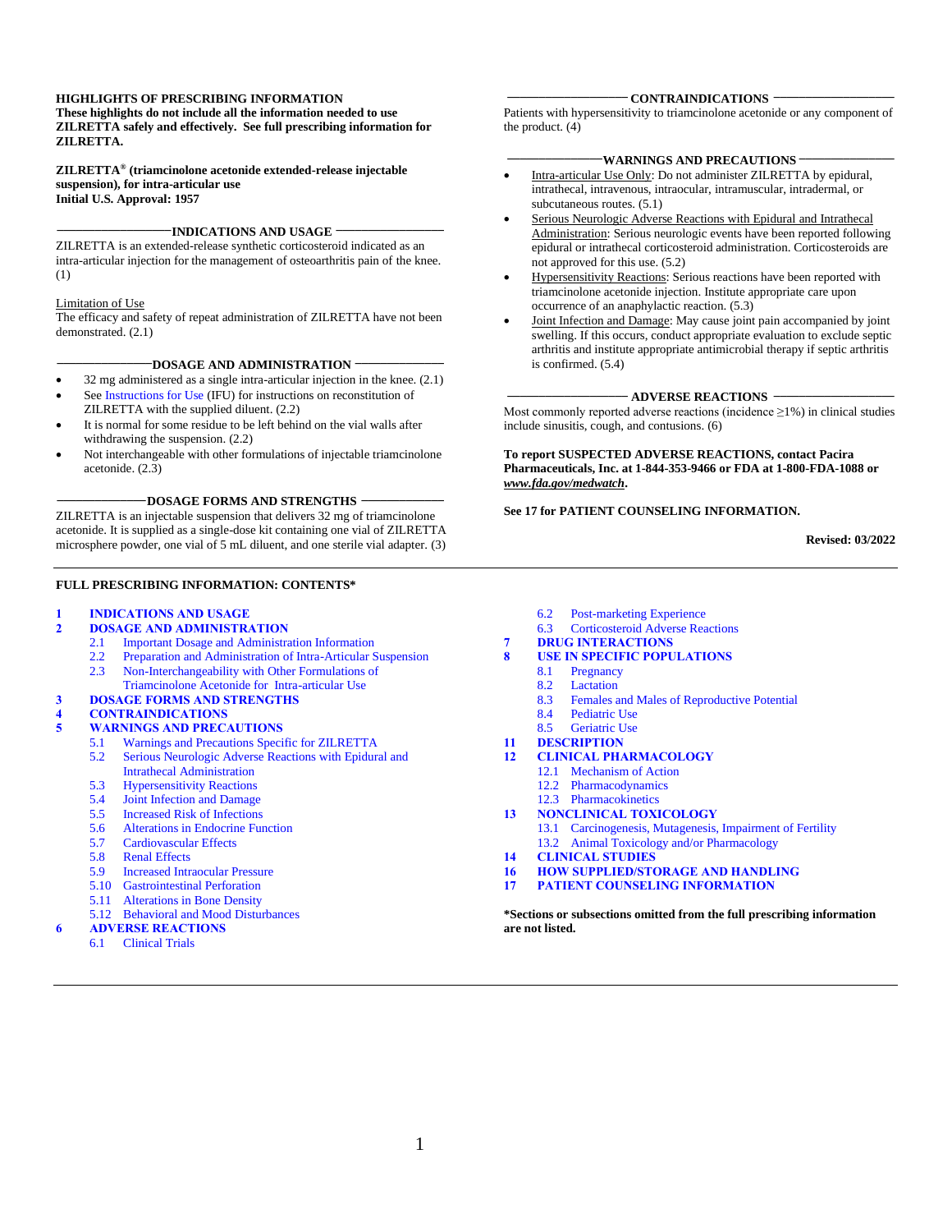### **HIGHLIGHTS OF PRESCRIBING INFORMATION**

**These highlights do not include all the information needed to use ZILRETTA safely and effectively. See full prescribing information for ZILRETTA.**

**ZILRETTA® (triamcinolone acetonide extended-release injectable suspension), for intra-articular use Initial U.S. Approval: 1957**

### **\_\_\_\_\_\_\_\_\_\_\_\_\_\_\_\_\_\_INDICATIONS AND USAGE \_\_\_\_\_\_\_\_\_\_\_\_\_\_\_\_\_**

ZILRETTA is an extended-release synthetic corticosteroid indicated as an intra-articular injection for the management of osteoarthritis pain of the knee. (1)

### Limitation of Use

The efficacy and safety of repeat administration of ZILRETTA have not been demonstrated. (2.1)

### **\_\_\_\_\_\_\_\_\_\_\_\_\_\_\_DOSAGE AND ADMINISTRATION \_\_\_\_\_\_\_\_\_\_\_\_\_\_**

- $32 \text{ mg}$  administered as a single intra-articular injection in the knee.  $(2.1)$ See [Instructions for Use](#page-16-0) (IFU) for instructions on reconstitution of
- ZILRETTA with the supplied diluent. (2.2) It is normal for some residue to be left behind on the vial walls after
- withdrawing the suspension. (2.2)
- Not interchangeable with other formulations of injectable triamcinolone acetonide. (2.3)

**\_\_\_\_\_\_\_\_\_\_\_\_\_\_DOSAGE FORMS AND STRENGTHS \_\_\_\_\_\_\_\_\_\_\_\_\_**

ZILRETTA is an injectable suspension that delivers 32 mg of triamcinolone acetonide. It is supplied as a single-dose kit containing one vial of ZILRETTA microsphere powder, one vial of 5 mL diluent, and one sterile vial adapter. (3)

### **FULL PRESCRIBING INFORMATION: CONTENTS\***

### **1 [INDICATIONS AND USAGE](#page-1-0)**

- **2 [DOSAGE AND ADMINISTRATION](#page-1-1)**
	- 2.1 [Important Dosage and Administration Information](#page-1-2)
	- 2.2 [Preparation and Administration of Intra-Articular Suspension](#page-1-3)<br>2.3 Non-Interchangeability with Other Formulations of 2.3 [Non-Interchangeability with Other Formulations of](#page-2-0)
	- [Triamcinolone Acetonide for Intra-articular Use](#page-2-0)
- **3 [DOSAGE FORMS AND STRENGTHS](#page-2-1)**

### **4 [CONTRAINDICATIONS](#page-2-2)**

- **5 [WARNINGS AND PRECAUTIONS](#page-2-3)**
	- 5.1 [Warnings and Precautions Specific for ZILRETTA](#page-2-4)
	- [5.2 Serious Neurologic Adverse Reactions with Epidural and](#page-2-5)
	- [Intrathecal Administration](#page-2-5)
	- 5.3 [Hypersensitivity Reactions](#page-3-0)
	- [5.4 Joint Infection and Damage](#page-3-1)
	- 5.5 [Increased Risk of Infections](#page-3-2)
	- [5.6 Alterations in Endocrine Function](#page-3-3)
	- 5.7 [Cardiovascular Effects](#page-4-0)
	-
	- 5.8 [Renal Effects](#page-4-1)<br>5.9 Increased Intr 5.9 [Increased Intraocular Pressure](#page-4-2)
	- 5.10 [Gastrointestinal Perforation](#page-4-3)
	- 5.11 [Alterations in Bone Density](#page-4-4)
	- 5.12 [Behavioral and Mood Disturbances](#page-4-5)
- **6 [ADVERSE REACTIONS](#page-4-6)**
	- - 6.1 [Clinical Trials](#page-5-0)

### **\_\_\_\_\_\_\_\_\_\_\_\_\_\_\_\_\_\_\_ CONTRAINDICATIONS \_\_\_\_\_\_\_\_\_\_\_\_\_\_\_\_\_\_\_**

Patients with hypersensitivity to triamcinolone acetonide or any component of the product. (4)

### **WARNINGS AND PRECAUTIONS**  $\overline{\phantom{a}}$

- Intra-articular Use Only: Do not administer ZILRETTA by epidural, intrathecal, intravenous, intraocular, intramuscular, intradermal, or subcutaneous routes. (5.1)
- Serious Neurologic Adverse Reactions with Epidural and Intrathecal Administration: Serious neurologic events have been reported following epidural or intrathecal corticosteroid administration. Corticosteroids are not approved for this use. (5.2)
- Hypersensitivity Reactions: Serious reactions have been reported with triamcinolone acetonide injection. Institute appropriate care upon occurrence of an anaphylactic reaction. (5.3)
- Joint Infection and Damage: May cause joint pain accompanied by joint swelling. If this occurs, conduct appropriate evaluation to exclude septic arthritis and institute appropriate antimicrobial therapy if septic arthritis is confirmed. (5.4)

### **\_\_\_\_\_\_\_\_\_\_\_\_\_\_\_\_\_\_\_ ADVERSE REACTIONS \_\_\_\_\_\_\_\_\_\_\_\_\_\_\_\_\_\_\_**

Most commonly reported adverse reactions (incidence  $\geq$ 1%) in clinical studies include sinusitis, cough, and contusions. (6)

**To report SUSPECTED ADVERSE REACTIONS, contact Pacira Pharmaceuticals, Inc. at 1-844-353-9466 or FDA at 1-800-FDA-1088 or**  *[www.fda.gov/medwatch](http://www.fda.gov/medwatch)***.**

### **See 17 for PATIENT COUNSELING INFORMATION.**

**Revised: 03/2022**

- 6.2 [Post-marketing Experience](#page-6-0)
- 6.3 [Corticosteroid Adverse Reactions](#page-6-1)
- **7 [DRUG INTERACTIONS](#page-7-0)**
- **8 [USE IN SPECIFIC POPULATIONS](#page-9-0)**
	- 8.1 [Pregnancy](#page-9-1)<br>8.2 Lactation
	- 8.2 [Lactation](#page-10-0)<br>8.3 Females a
	- 8.3 [Females and Males of Reproductive Potential](#page-10-1)
	- 8.4 [Pediatric Use](#page-10-2)
	- 8.5 [Geriatric Use](#page-10-3)
- 
- **11 [DESCRIPTION](#page-10-4) 12 [CLINICAL PHARMACOLOGY](#page-11-0)**
	- 12.1 [Mechanism of Action](#page-11-1)
	- 12.2 [Pharmacodynamics](#page-11-2)
	- 12.3 [Pharmacokinetics](#page-12-0)
- **13 [NONCLINICAL TOXICOLOGY](#page-12-1)**
- 13.1 [Carcinogenesis, Mutagenesis, Impairment of Fertility](#page-12-2) 13.2 [Animal Toxicology and/or Pharmacology](#page-13-0)
- **14 [CLINICAL STUDIES](#page-13-1)**
- **16 [HOW SUPPLIED/STORAGE AND HANDLING](#page-14-0)**
- **17 [PATIENT COUNSELING INFORMATION](#page-15-0)**

**\*Sections or subsections omitted from the full prescribing information are not listed.**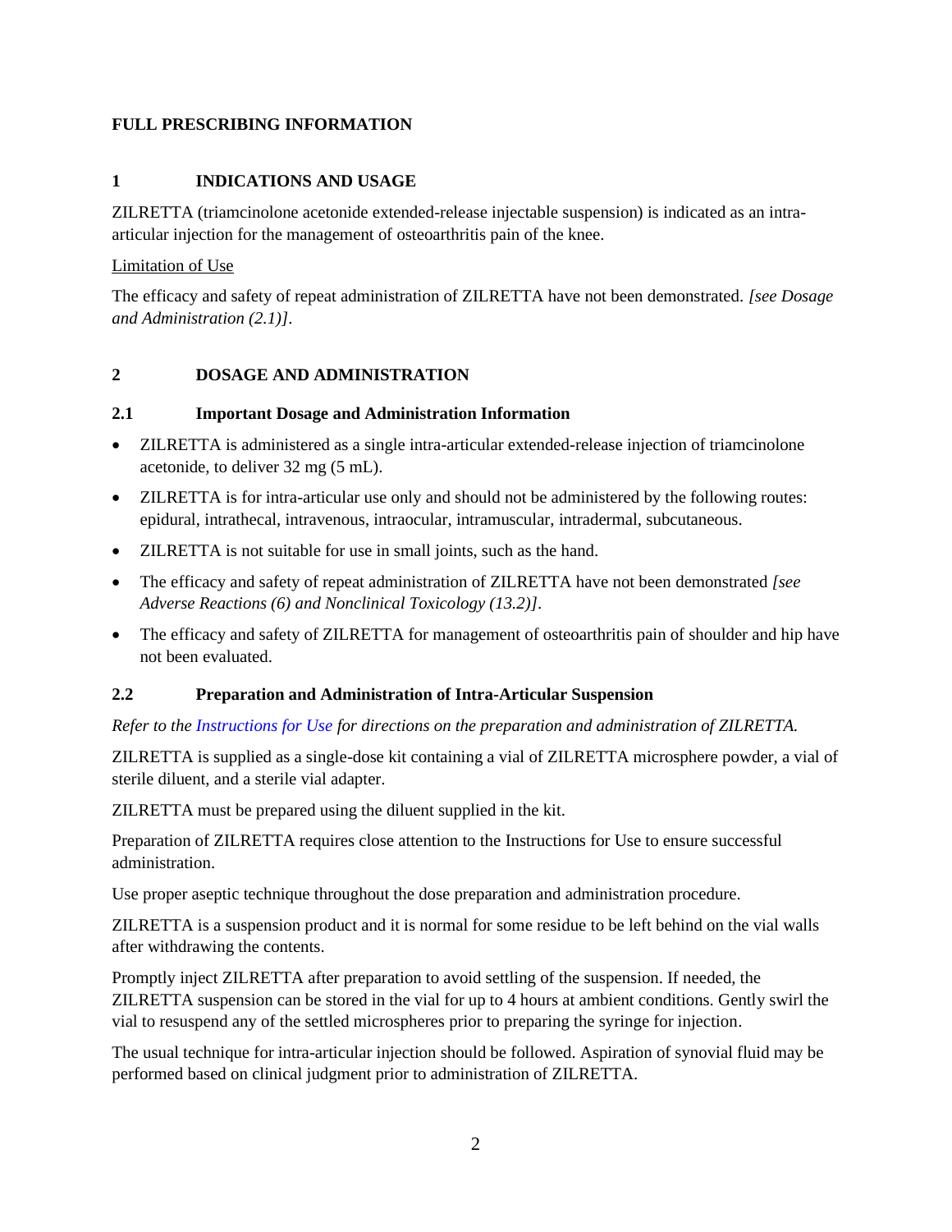# <span id="page-1-0"></span>**FULL PRESCRIBING INFORMATION**

# **1 INDICATIONS AND USAGE**

ZILRETTA (triamcinolone acetonide extended-release injectable suspension) is indicated as an intraarticular injection for the management of osteoarthritis pain of the knee.

# Limitation of Use

The efficacy and safety of repeat administration of ZILRETTA have not been demonstrated. *[see Dosage and Administration (2.1)]*.

# <span id="page-1-1"></span>**2 DOSAGE AND ADMINISTRATION**

# <span id="page-1-2"></span>**2.1 Important Dosage and Administration Information**

- ZILRETTA is administered as a single intra-articular extended-release injection of triamcinolone acetonide, to deliver 32 mg (5 mL).
- ZILRETTA is for intra-articular use only and should not be administered by the following routes: epidural, intrathecal, intravenous, intraocular, intramuscular, intradermal, subcutaneous.
- ZILRETTA is not suitable for use in small joints, such as the hand.
- The efficacy and safety of repeat administration of ZILRETTA have not been demonstrated *[see Adverse Reactions (6) and Nonclinical Toxicology (13.2)]*.
- The efficacy and safety of ZILRETTA for management of osteoarthritis pain of shoulder and hip have not been evaluated.

# <span id="page-1-3"></span>**2.2 Preparation and Administration of Intra-Articular Suspension**

*Refer to the Instructions for Use for directions on the preparation and administration of ZILRETTA.*

ZILRETTA is supplied as a single-dose kit containing a vial of ZILRETTA microsphere powder, a vial of sterile diluent, and a sterile vial adapter.

ZILRETTA must be prepared using the diluent supplied in the kit.

Preparation of ZILRETTA requires close attention to the Instructions for Use to ensure successful administration.

Use proper aseptic technique throughout the dose preparation and administration procedure.

ZILRETTA is a suspension product and it is normal for some residue to be left behind on the vial walls after withdrawing the contents.

Promptly inject ZILRETTA after preparation to avoid settling of the suspension. If needed, the ZILRETTA suspension can be stored in the vial for up to 4 hours at ambient conditions. Gently swirl the vial to resuspend any of the settled microspheres prior to preparing the syringe for injection.

The usual technique for intra-articular injection should be followed. Aspiration of synovial fluid may be performed based on clinical judgment prior to administration of ZILRETTA.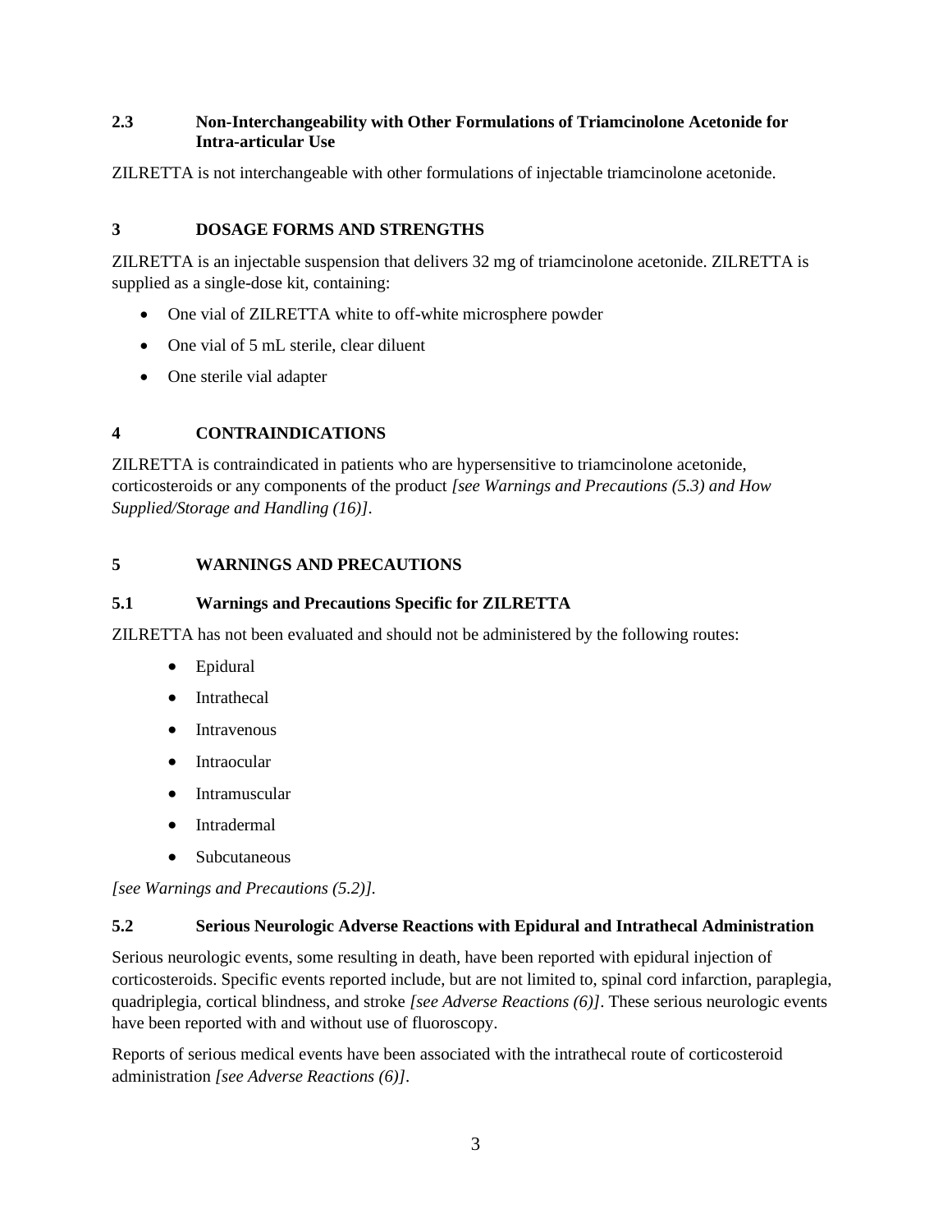# <span id="page-2-0"></span>**2.3 Non-Interchangeability with Other Formulations of Triamcinolone Acetonide for Intra-articular Use**

ZILRETTA is not interchangeable with other formulations of injectable triamcinolone acetonide.

# <span id="page-2-1"></span>**3 DOSAGE FORMS AND STRENGTHS**

ZILRETTA is an injectable suspension that delivers 32 mg of triamcinolone acetonide. ZILRETTA is supplied as a single-dose kit, containing:

- One vial of ZILRETTA white to off-white microsphere powder
- One vial of 5 mL sterile, clear diluent
- One sterile vial adapter

# <span id="page-2-2"></span>**4 CONTRAINDICATIONS**

ZILRETTA is contraindicated in patients who are hypersensitive to triamcinolone acetonide, corticosteroids or any components of the product *[see Warnings and Precautions (5.3) and How Supplied/Storage and Handling (16)]*.

# <span id="page-2-3"></span>**5 WARNINGS AND PRECAUTIONS**

# <span id="page-2-4"></span>**5.1 Warnings and Precautions Specific for ZILRETTA**

ZILRETTA has not been evaluated and should not be administered by the following routes:

- Epidural
- Intrathecal
- Intravenous
- Intraocular
- Intramuscular
- Intradermal
- Subcutaneous

*[see Warnings and Precautions (5.2)].*

# <span id="page-2-5"></span>**5.2 Serious Neurologic Adverse Reactions with Epidural and Intrathecal Administration**

Serious neurologic events, some resulting in death, have been reported with epidural injection of corticosteroids. Specific events reported include, but are not limited to, spinal cord infarction, paraplegia, quadriplegia, cortical blindness, and stroke *[see Adverse Reactions (6)]*. These serious neurologic events have been reported with and without use of fluoroscopy.

Reports of serious medical events have been associated with the intrathecal route of corticosteroid administration *[see Adverse Reactions (6)]*.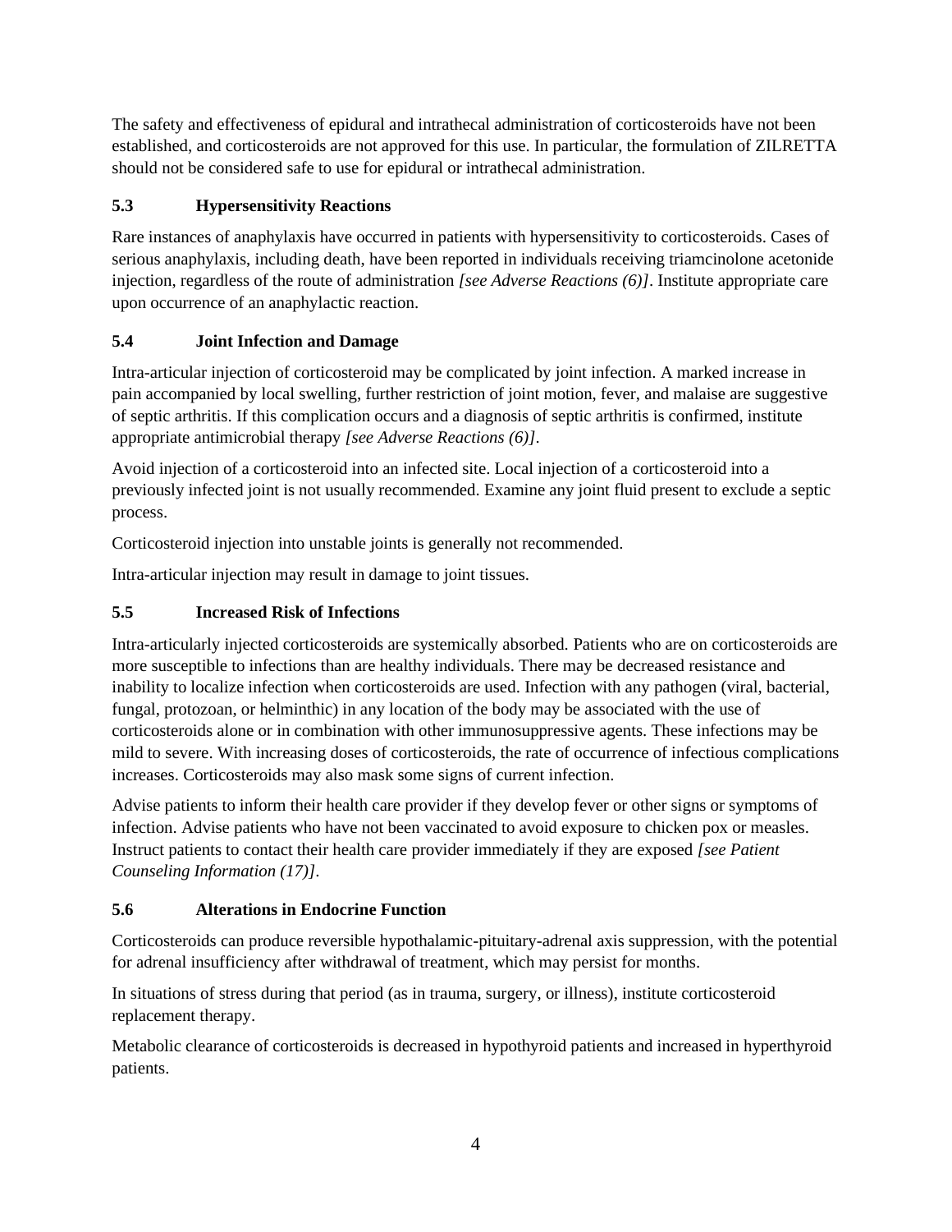The safety and effectiveness of epidural and intrathecal administration of corticosteroids have not been established, and corticosteroids are not approved for this use. In particular, the formulation of ZILRETTA should not be considered safe to use for epidural or intrathecal administration.

# <span id="page-3-0"></span>**5.3 Hypersensitivity Reactions**

Rare instances of anaphylaxis have occurred in patients with hypersensitivity to corticosteroids. Cases of serious anaphylaxis, including death, have been reported in individuals receiving triamcinolone acetonide injection, regardless of the route of administration *[see Adverse Reactions (6)]*. Institute appropriate care upon occurrence of an anaphylactic reaction.

# <span id="page-3-1"></span>**5.4 Joint Infection and Damage**

Intra-articular injection of corticosteroid may be complicated by joint infection. A marked increase in pain accompanied by local swelling, further restriction of joint motion, fever, and malaise are suggestive of septic arthritis. If this complication occurs and a diagnosis of septic arthritis is confirmed, institute appropriate antimicrobial therapy *[see Adverse Reactions (6)]*.

Avoid injection of a corticosteroid into an infected site. Local injection of a corticosteroid into a previously infected joint is not usually recommended. Examine any joint fluid present to exclude a septic process.

Corticosteroid injection into unstable joints is generally not recommended.

Intra-articular injection may result in damage to joint tissues.

# <span id="page-3-2"></span>**5.5 Increased Risk of Infections**

Intra-articularly injected corticosteroids are systemically absorbed. Patients who are on corticosteroids are more susceptible to infections than are healthy individuals. There may be decreased resistance and inability to localize infection when corticosteroids are used. Infection with any pathogen (viral, bacterial, fungal, protozoan, or helminthic) in any location of the body may be associated with the use of corticosteroids alone or in combination with other immunosuppressive agents. These infections may be mild to severe. With increasing doses of corticosteroids, the rate of occurrence of infectious complications increases. Corticosteroids may also mask some signs of current infection.

Advise patients to inform their health care provider if they develop fever or other signs or symptoms of infection. Advise patients who have not been vaccinated to avoid exposure to chicken pox or measles. Instruct patients to contact their health care provider immediately if they are exposed *[see Patient Counseling Information (17)]*.

# <span id="page-3-3"></span>**5.6 Alterations in Endocrine Function**

Corticosteroids can produce reversible hypothalamic-pituitary-adrenal axis suppression, with the potential for adrenal insufficiency after withdrawal of treatment, which may persist for months.

In situations of stress during that period (as in trauma, surgery, or illness), institute corticosteroid replacement therapy.

Metabolic clearance of corticosteroids is decreased in hypothyroid patients and increased in hyperthyroid patients.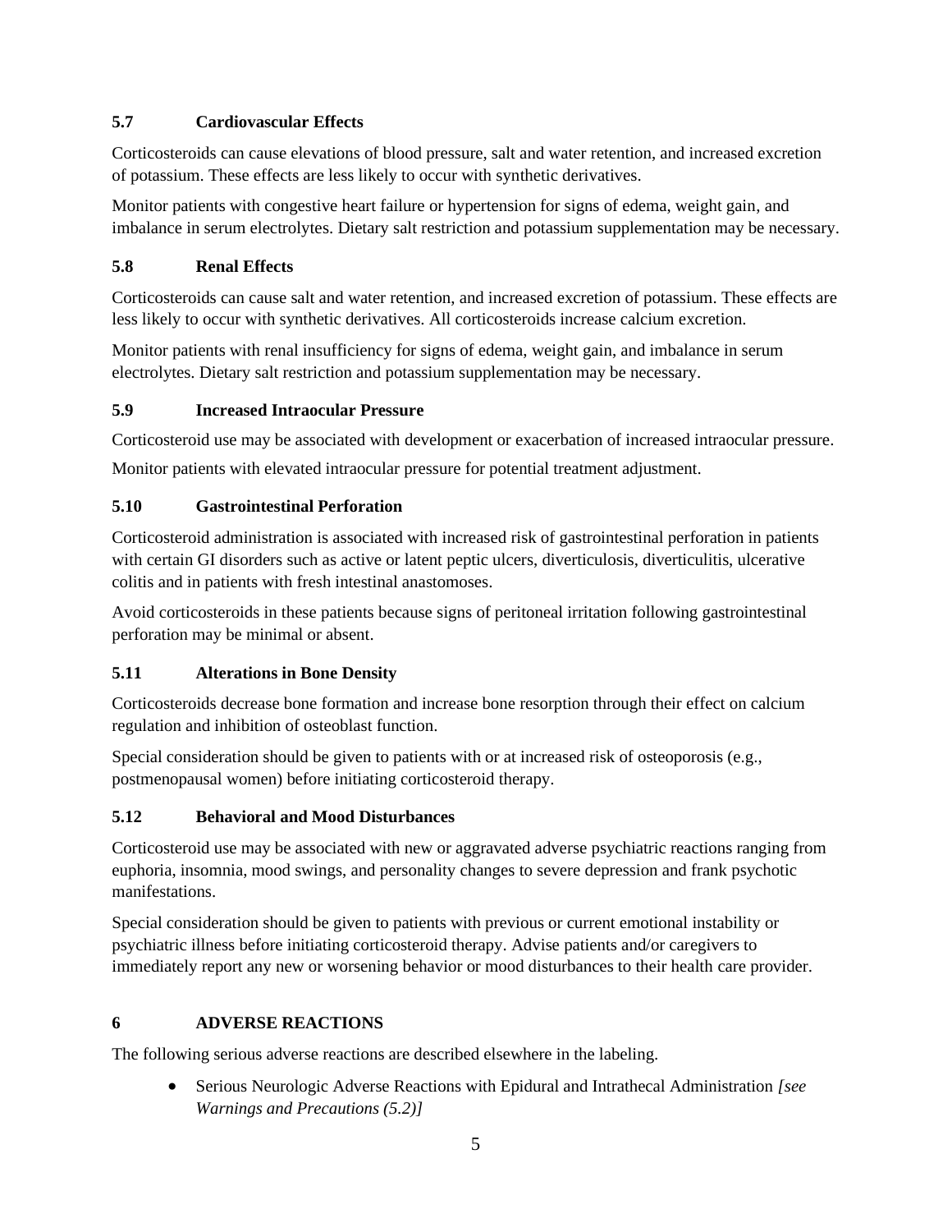# <span id="page-4-0"></span>**5.7 Cardiovascular Effects**

Corticosteroids can cause elevations of blood pressure, salt and water retention, and increased excretion of potassium. These effects are less likely to occur with synthetic derivatives.

Monitor patients with congestive heart failure or hypertension for signs of edema, weight gain, and imbalance in serum electrolytes. Dietary salt restriction and potassium supplementation may be necessary.

# <span id="page-4-1"></span>**5.8 Renal Effects**

Corticosteroids can cause salt and water retention, and increased excretion of potassium. These effects are less likely to occur with synthetic derivatives. All corticosteroids increase calcium excretion.

Monitor patients with renal insufficiency for signs of edema, weight gain, and imbalance in serum electrolytes. Dietary salt restriction and potassium supplementation may be necessary.

# <span id="page-4-2"></span>**5.9 Increased Intraocular Pressure**

Corticosteroid use may be associated with development or exacerbation of increased intraocular pressure.

Monitor patients with elevated intraocular pressure for potential treatment adjustment.

# <span id="page-4-3"></span>**5.10 Gastrointestinal Perforation**

Corticosteroid administration is associated with increased risk of gastrointestinal perforation in patients with certain GI disorders such as active or latent peptic ulcers, diverticulosis, diverticulitis, ulcerative colitis and in patients with fresh intestinal anastomoses.

Avoid corticosteroids in these patients because signs of peritoneal irritation following gastrointestinal perforation may be minimal or absent.

# <span id="page-4-4"></span>**5.11 Alterations in Bone Density**

Corticosteroids decrease bone formation and increase bone resorption through their effect on calcium regulation and inhibition of osteoblast function.

Special consideration should be given to patients with or at increased risk of osteoporosis (e.g., postmenopausal women) before initiating corticosteroid therapy.

# <span id="page-4-5"></span>**5.12 Behavioral and Mood Disturbances**

Corticosteroid use may be associated with new or aggravated adverse psychiatric reactions ranging from euphoria, insomnia, mood swings, and personality changes to severe depression and frank psychotic manifestations.

Special consideration should be given to patients with previous or current emotional instability or psychiatric illness before initiating corticosteroid therapy. Advise patients and/or caregivers to immediately report any new or worsening behavior or mood disturbances to their health care provider.

# <span id="page-4-6"></span>**6 ADVERSE REACTIONS**

The following serious adverse reactions are described elsewhere in the labeling.

• Serious Neurologic Adverse Reactions with Epidural and Intrathecal Administration *[see Warnings and Precautions (5.2)]*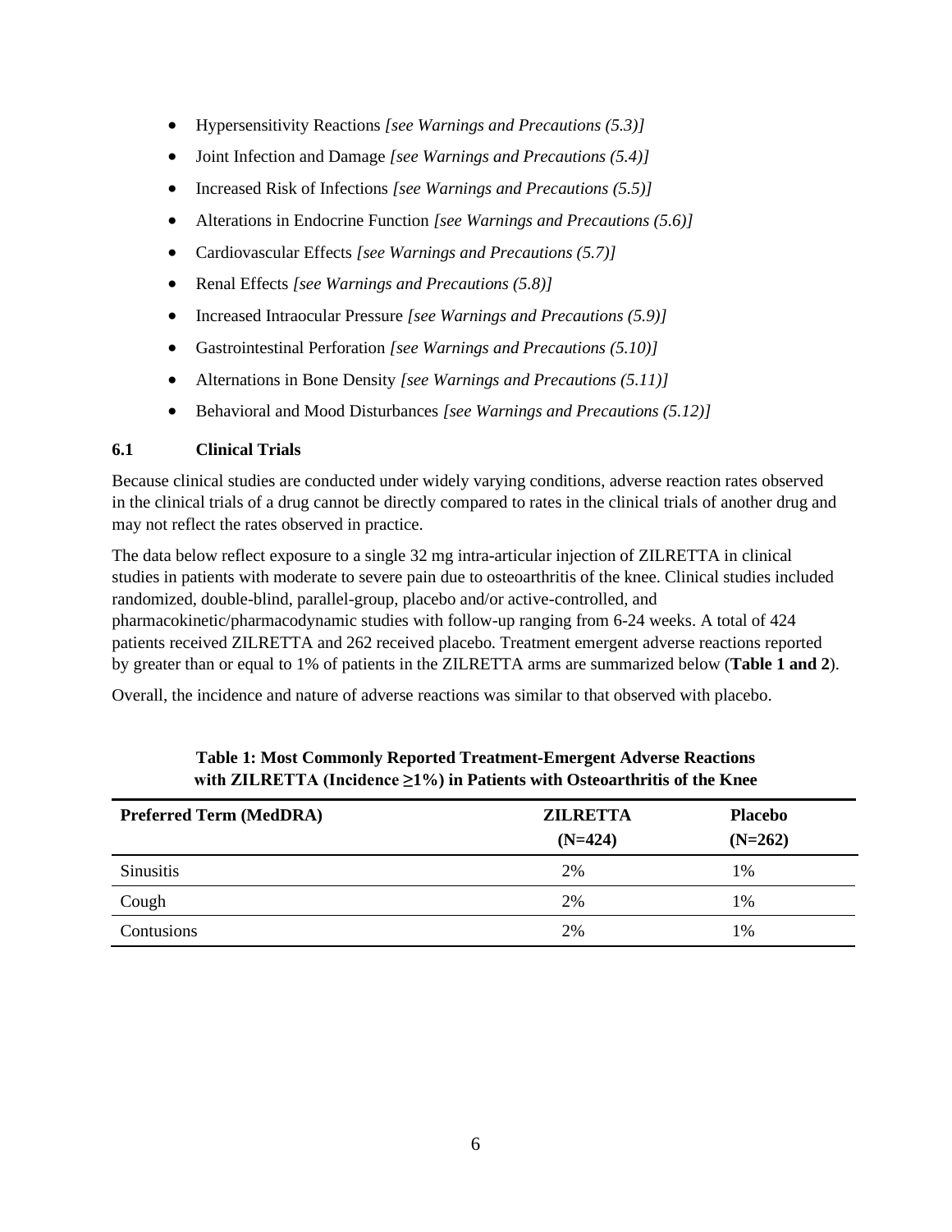- Hypersensitivity Reactions *[see Warnings and Precautions (5.3)]*
- Joint Infection and Damage *[see Warnings and Precautions (5.4)]*
- Increased Risk of Infections *[see Warnings and Precautions (5.5)]*
- Alterations in Endocrine Function *[see Warnings and Precautions (5.6)]*
- Cardiovascular Effects *[see Warnings and Precautions (5.7)]*
- Renal Effects *[see Warnings and Precautions (5.8)]*
- Increased Intraocular Pressure *[see Warnings and Precautions (5.9)]*
- Gastrointestinal Perforation *[see Warnings and Precautions (5.10)]*
- Alternations in Bone Density *[see Warnings and Precautions (5.11)]*
- Behavioral and Mood Disturbances *[see Warnings and Precautions (5.12)]*

# <span id="page-5-0"></span>**6.1 Clinical Trials**

Because clinical studies are conducted under widely varying conditions, adverse reaction rates observed in the clinical trials of a drug cannot be directly compared to rates in the clinical trials of another drug and may not reflect the rates observed in practice.

The data below reflect exposure to a single 32 mg intra-articular injection of ZILRETTA in clinical studies in patients with moderate to severe pain due to osteoarthritis of the knee. Clinical studies included randomized, double-blind, parallel-group, placebo and/or active-controlled, and pharmacokinetic/pharmacodynamic studies with follow-up ranging from 6-24 weeks. A total of 424 patients received ZILRETTA and 262 received placebo. Treatment emergent adverse reactions reported by greater than or equal to 1% of patients in the ZILRETTA arms are summarized below (**Table 1 and 2**).

Overall, the incidence and nature of adverse reactions was similar to that observed with placebo.

| <b>Preferred Term (MedDRA)</b> | <b>ZILRETTA</b> | <b>Placebo</b> |
|--------------------------------|-----------------|----------------|
|                                | $(N=424)$       | $(N=262)$      |
| <b>Sinusitis</b>               | 2%              | 1%             |
| Cough                          | 2%              | 1%             |
| Contusions                     | 2%              | 1%             |

# **Table 1: Most Commonly Reported Treatment-Emergent Adverse Reactions with ZILRETTA (Incidence ≥1%) in Patients with Osteoarthritis of the Knee**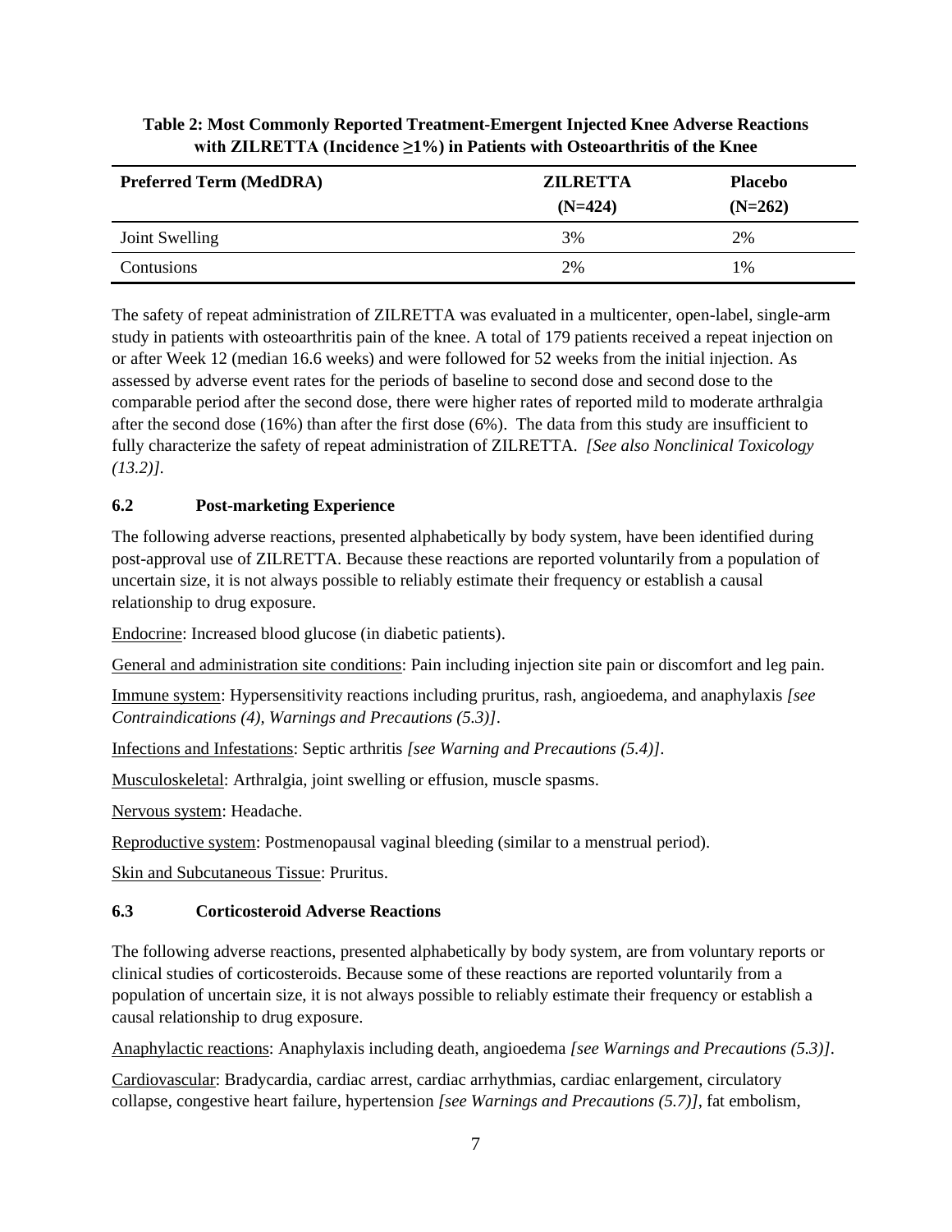| <b>Preferred Term (MedDRA)</b> | <b>ZILRETTA</b><br>$(N=424)$ | <b>Placebo</b><br>$(N=262)$ |
|--------------------------------|------------------------------|-----------------------------|
| Joint Swelling                 | 3%                           | 2%                          |
| Contusions                     | 2%                           | $1\%$                       |

# **Table 2: Most Commonly Reported Treatment-Emergent Injected Knee Adverse Reactions with ZILRETTA (Incidence ≥1%) in Patients with Osteoarthritis of the Knee**

The safety of repeat administration of ZILRETTA was evaluated in a multicenter, open-label, single-arm study in patients with osteoarthritis pain of the knee. A total of 179 patients received a repeat injection on or after Week 12 (median 16.6 weeks) and were followed for 52 weeks from the initial injection. As assessed by adverse event rates for the periods of baseline to second dose and second dose to the comparable period after the second dose, there were higher rates of reported mild to moderate arthralgia after the second dose (16%) than after the first dose (6%). The data from this study are insufficient to fully characterize the safety of repeat administration of ZILRETTA. *[See also Nonclinical Toxicology (13.2)].*

# <span id="page-6-0"></span>**6.2 Post-marketing Experience**

The following adverse reactions, presented alphabetically by body system, have been identified during post-approval use of ZILRETTA. Because these reactions are reported voluntarily from a population of uncertain size, it is not always possible to reliably estimate their frequency or establish a causal relationship to drug exposure.

Endocrine: Increased blood glucose (in diabetic patients).

General and administration site conditions: Pain including injection site pain or discomfort and leg pain.

Immune system: Hypersensitivity reactions including pruritus, rash, angioedema, and anaphylaxis *[see Contraindications (4), Warnings and Precautions (5.3)]*.

Infections and Infestations: Septic arthritis *[see Warning and Precautions (5.4)]*.

Musculoskeletal: Arthralgia, joint swelling or effusion, muscle spasms.

Nervous system: Headache.

Reproductive system: Postmenopausal vaginal bleeding (similar to a menstrual period).

Skin and Subcutaneous Tissue: Pruritus.

# <span id="page-6-1"></span>**6.3 Corticosteroid Adverse Reactions**

The following adverse reactions, presented alphabetically by body system, are from voluntary reports or clinical studies of corticosteroids. Because some of these reactions are reported voluntarily from a population of uncertain size, it is not always possible to reliably estimate their frequency or establish a causal relationship to drug exposure.

Anaphylactic reactions: Anaphylaxis including death, angioedema *[see Warnings and Precautions (5.3)]*.

Cardiovascular: Bradycardia, cardiac arrest, cardiac arrhythmias, cardiac enlargement, circulatory collapse, congestive heart failure, hypertension *[see Warnings and Precautions (5.7)]*, fat embolism,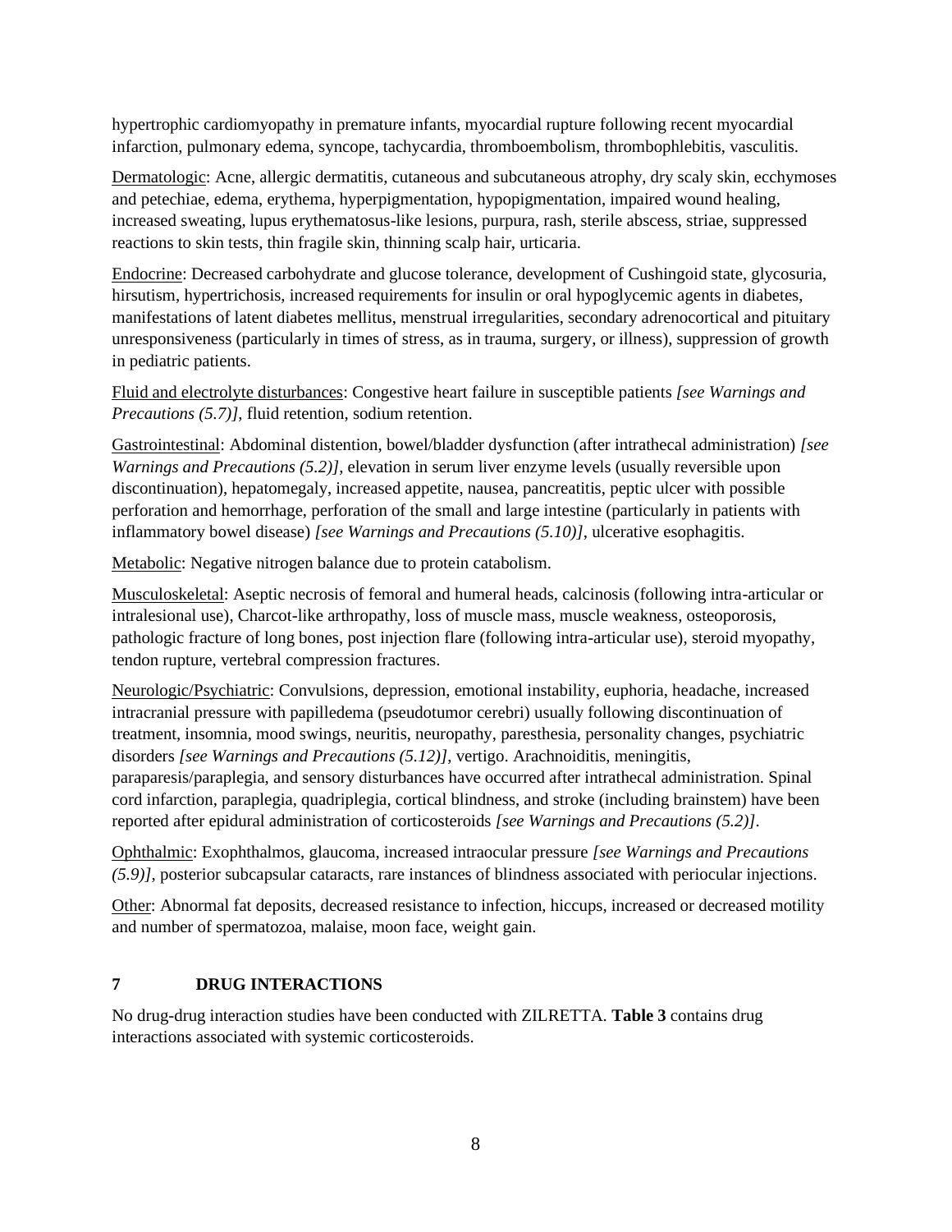hypertrophic cardiomyopathy in premature infants, myocardial rupture following recent myocardial infarction, pulmonary edema, syncope, tachycardia, thromboembolism, thrombophlebitis, vasculitis.

Dermatologic: Acne, allergic dermatitis, cutaneous and subcutaneous atrophy, dry scaly skin, ecchymoses and petechiae, edema, erythema, hyperpigmentation, hypopigmentation, impaired wound healing, increased sweating, lupus erythematosus-like lesions, purpura, rash, sterile abscess, striae, suppressed reactions to skin tests, thin fragile skin, thinning scalp hair, urticaria.

Endocrine: Decreased carbohydrate and glucose tolerance, development of Cushingoid state, glycosuria, hirsutism, hypertrichosis, increased requirements for insulin or oral hypoglycemic agents in diabetes, manifestations of latent diabetes mellitus, menstrual irregularities, secondary adrenocortical and pituitary unresponsiveness (particularly in times of stress, as in trauma, surgery, or illness), suppression of growth in pediatric patients.

Fluid and electrolyte disturbances: Congestive heart failure in susceptible patients *[see Warnings and Precautions (5.7)]*, fluid retention, sodium retention.

Gastrointestinal: Abdominal distention, bowel/bladder dysfunction (after intrathecal administration) *[see Warnings and Precautions (5.2)]*, elevation in serum liver enzyme levels (usually reversible upon discontinuation), hepatomegaly, increased appetite, nausea, pancreatitis, peptic ulcer with possible perforation and hemorrhage, perforation of the small and large intestine (particularly in patients with inflammatory bowel disease) *[see Warnings and Precautions (5.10)]*, ulcerative esophagitis.

Metabolic: Negative nitrogen balance due to protein catabolism.

Musculoskeletal: Aseptic necrosis of femoral and humeral heads, calcinosis (following intra-articular or intralesional use), Charcot-like arthropathy, loss of muscle mass, muscle weakness, osteoporosis, pathologic fracture of long bones, post injection flare (following intra-articular use), steroid myopathy, tendon rupture, vertebral compression fractures.

Neurologic/Psychiatric: Convulsions, depression, emotional instability, euphoria, headache, increased intracranial pressure with papilledema (pseudotumor cerebri) usually following discontinuation of treatment, insomnia, mood swings, neuritis, neuropathy, paresthesia, personality changes, psychiatric disorders *[see Warnings and Precautions (5.12)]*, vertigo. Arachnoiditis, meningitis, paraparesis/paraplegia, and sensory disturbances have occurred after intrathecal administration. Spinal cord infarction, paraplegia, quadriplegia, cortical blindness, and stroke (including brainstem) have been reported after epidural administration of corticosteroids *[see Warnings and Precautions (5.2)]*.

Ophthalmic: Exophthalmos, glaucoma, increased intraocular pressure *[see Warnings and Precautions (5.9)]*, posterior subcapsular cataracts, rare instances of blindness associated with periocular injections.

Other: Abnormal fat deposits, decreased resistance to infection, hiccups, increased or decreased motility and number of spermatozoa, malaise, moon face, weight gain.

# <span id="page-7-0"></span>**7 DRUG INTERACTIONS**

No drug-drug interaction studies have been conducted with ZILRETTA. **Table 3** contains drug interactions associated with systemic corticosteroids.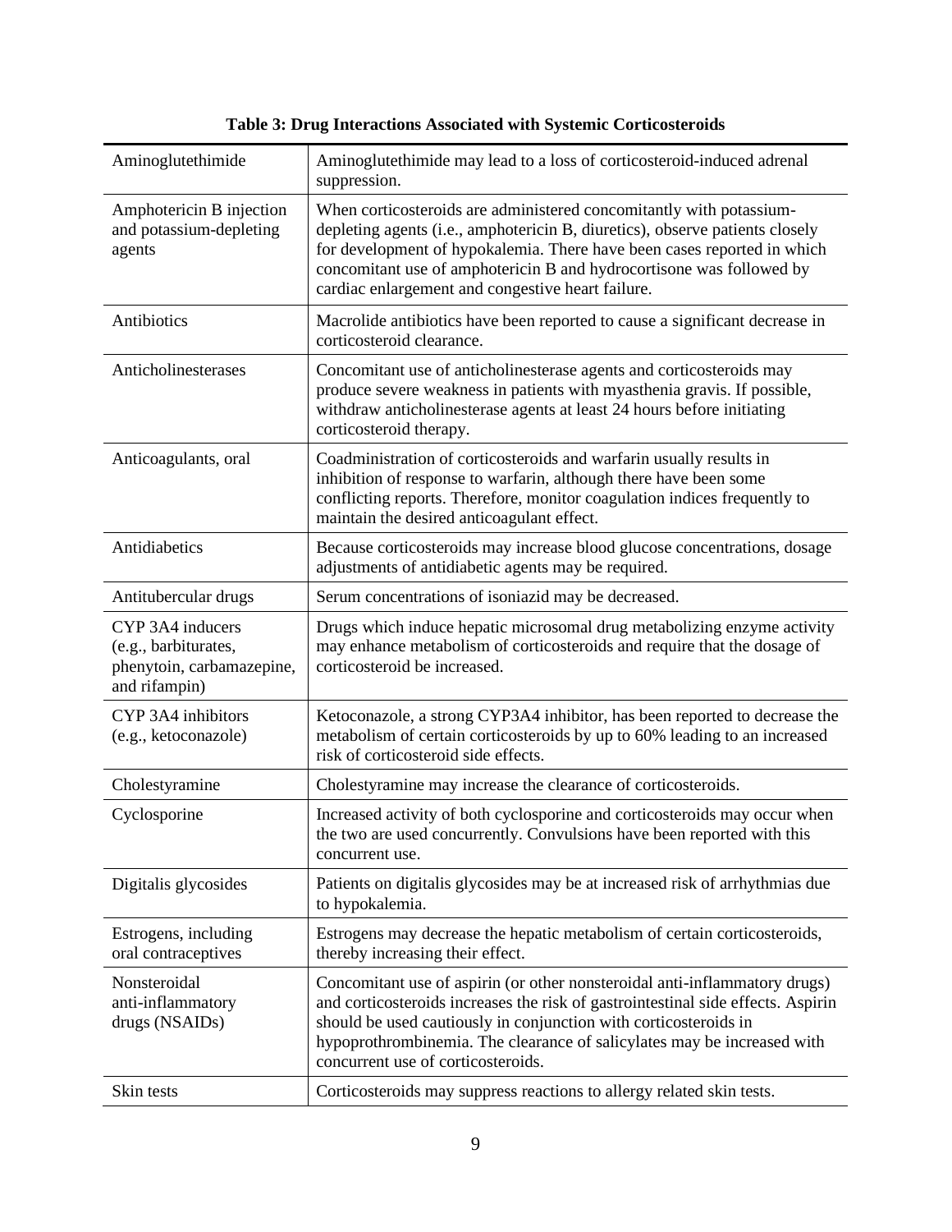| Aminoglutethimide                                                                      | Aminoglutethimide may lead to a loss of corticosteroid-induced adrenal<br>suppression.                                                                                                                                                                                                                                                                      |
|----------------------------------------------------------------------------------------|-------------------------------------------------------------------------------------------------------------------------------------------------------------------------------------------------------------------------------------------------------------------------------------------------------------------------------------------------------------|
| Amphotericin B injection<br>and potassium-depleting<br>agents                          | When corticosteroids are administered concomitantly with potassium-<br>depleting agents (i.e., amphotericin B, diuretics), observe patients closely<br>for development of hypokalemia. There have been cases reported in which<br>concomitant use of amphotericin B and hydrocortisone was followed by<br>cardiac enlargement and congestive heart failure. |
| Antibiotics                                                                            | Macrolide antibiotics have been reported to cause a significant decrease in<br>corticosteroid clearance.                                                                                                                                                                                                                                                    |
| Anticholinesterases                                                                    | Concomitant use of anticholinesterase agents and corticosteroids may<br>produce severe weakness in patients with myasthenia gravis. If possible,<br>withdraw anticholinesterase agents at least 24 hours before initiating<br>corticosteroid therapy.                                                                                                       |
| Anticoagulants, oral                                                                   | Coadministration of corticosteroids and warfarin usually results in<br>inhibition of response to warfarin, although there have been some<br>conflicting reports. Therefore, monitor coagulation indices frequently to<br>maintain the desired anticoagulant effect.                                                                                         |
| Antidiabetics                                                                          | Because corticosteroids may increase blood glucose concentrations, dosage<br>adjustments of antidiabetic agents may be required.                                                                                                                                                                                                                            |
| Antitubercular drugs                                                                   | Serum concentrations of isoniazid may be decreased.                                                                                                                                                                                                                                                                                                         |
| CYP 3A4 inducers<br>(e.g., barbiturates,<br>phenytoin, carbamazepine,<br>and rifampin) | Drugs which induce hepatic microsomal drug metabolizing enzyme activity<br>may enhance metabolism of corticosteroids and require that the dosage of<br>corticosteroid be increased.                                                                                                                                                                         |
| CYP 3A4 inhibitors<br>(e.g., ketoconazole)                                             | Ketoconazole, a strong CYP3A4 inhibitor, has been reported to decrease the<br>metabolism of certain corticosteroids by up to 60% leading to an increased<br>risk of corticosteroid side effects.                                                                                                                                                            |
| Cholestyramine                                                                         | Cholestyramine may increase the clearance of corticosteroids.                                                                                                                                                                                                                                                                                               |
| Cyclosporine                                                                           | Increased activity of both cyclosporine and corticosteroids may occur when<br>the two are used concurrently. Convulsions have been reported with this<br>concurrent use.                                                                                                                                                                                    |
| Digitalis glycosides                                                                   | Patients on digitalis glycosides may be at increased risk of arrhythmias due<br>to hypokalemia.                                                                                                                                                                                                                                                             |
| Estrogens, including<br>oral contraceptives                                            | Estrogens may decrease the hepatic metabolism of certain corticosteroids,<br>thereby increasing their effect.                                                                                                                                                                                                                                               |
| Nonsteroidal<br>anti-inflammatory<br>drugs (NSAIDs)                                    | Concomitant use of aspirin (or other nonsteroidal anti-inflammatory drugs)<br>and corticosteroids increases the risk of gastrointestinal side effects. Aspirin<br>should be used cautiously in conjunction with corticosteroids in<br>hypoprothrombinemia. The clearance of salicylates may be increased with<br>concurrent use of corticosteroids.         |
| Skin tests                                                                             | Corticosteroids may suppress reactions to allergy related skin tests.                                                                                                                                                                                                                                                                                       |

**Table 3: Drug Interactions Associated with Systemic Corticosteroids**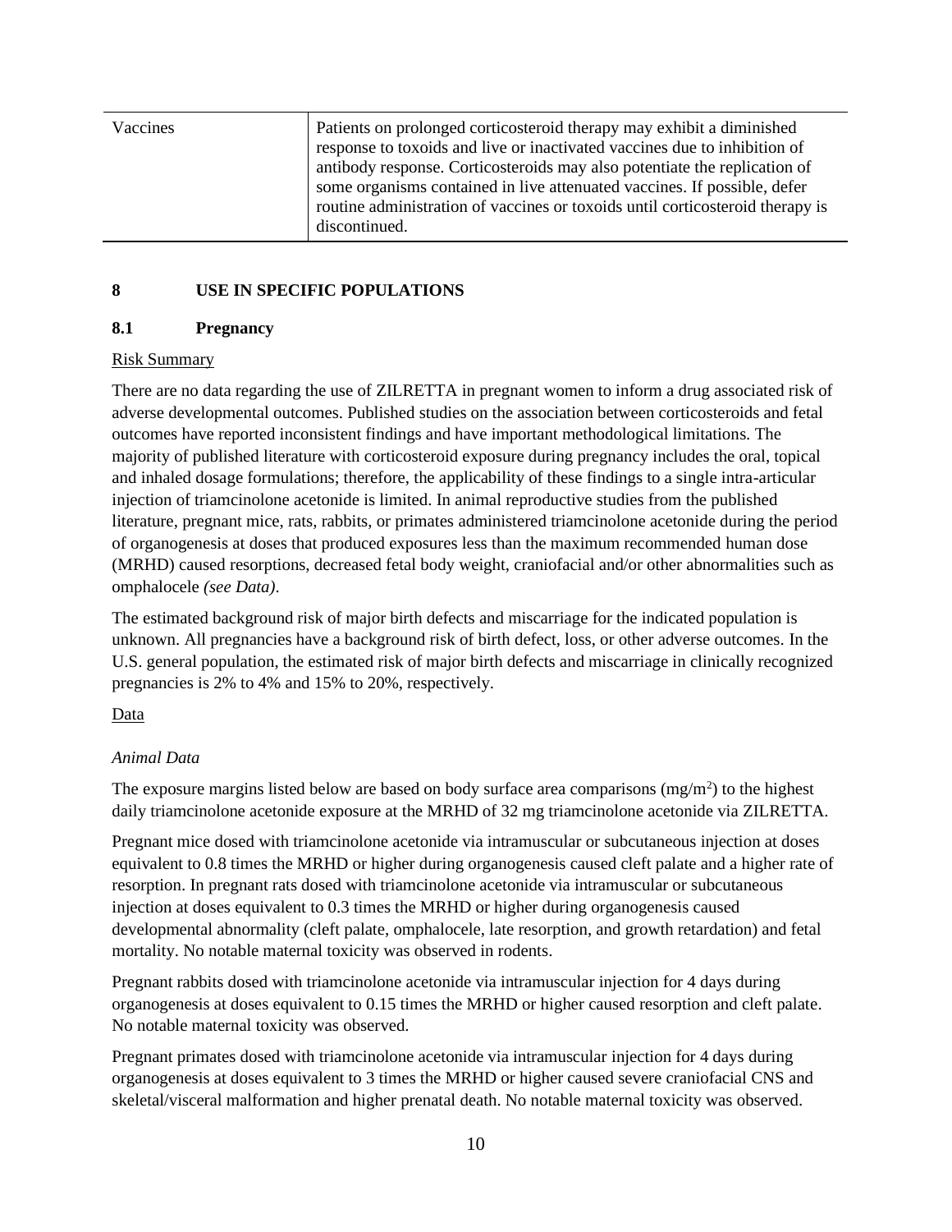| Vaccines | Patients on prolonged corticosteroid therapy may exhibit a diminished<br>response to toxoids and live or inactivated vaccines due to inhibition of<br>antibody response. Corticosteroids may also potentiate the replication of<br>some organisms contained in live attenuated vaccines. If possible, defer<br>routine administration of vaccines or toxoids until corticosteroid therapy is<br>discontinued. |
|----------|---------------------------------------------------------------------------------------------------------------------------------------------------------------------------------------------------------------------------------------------------------------------------------------------------------------------------------------------------------------------------------------------------------------|
|----------|---------------------------------------------------------------------------------------------------------------------------------------------------------------------------------------------------------------------------------------------------------------------------------------------------------------------------------------------------------------------------------------------------------------|

# <span id="page-9-1"></span><span id="page-9-0"></span>**8 USE IN SPECIFIC POPULATIONS**

# **8.1 Pregnancy**

# Risk Summary

There are no data regarding the use of ZILRETTA in pregnant women to inform a drug associated risk of adverse developmental outcomes. Published studies on the association between corticosteroids and fetal outcomes have reported inconsistent findings and have important methodological limitations*.* The majority of published literature with corticosteroid exposure during pregnancy includes the oral, topical and inhaled dosage formulations; therefore, the applicability of these findings to a single intra-articular injection of triamcinolone acetonide is limited. In animal reproductive studies from the published literature, pregnant mice, rats, rabbits, or primates administered triamcinolone acetonide during the period of organogenesis at doses that produced exposures less than the maximum recommended human dose (MRHD) caused resorptions, decreased fetal body weight, craniofacial and/or other abnormalities such as omphalocele *(see Data)*.

The estimated background risk of major birth defects and miscarriage for the indicated population is unknown. All pregnancies have a background risk of birth defect, loss, or other adverse outcomes. In the U.S. general population, the estimated risk of major birth defects and miscarriage in clinically recognized pregnancies is 2% to 4% and 15% to 20%, respectively.

# Data

# *Animal Data*

The exposure margins listed below are based on body surface area comparisons  $(mg/m<sup>2</sup>)$  to the highest daily triamcinolone acetonide exposure at the MRHD of 32 mg triamcinolone acetonide via ZILRETTA.

Pregnant mice dosed with triamcinolone acetonide via intramuscular or subcutaneous injection at doses equivalent to 0.8 times the MRHD or higher during organogenesis caused cleft palate and a higher rate of resorption. In pregnant rats dosed with triamcinolone acetonide via intramuscular or subcutaneous injection at doses equivalent to 0.3 times the MRHD or higher during organogenesis caused developmental abnormality (cleft palate, omphalocele, late resorption, and growth retardation) and fetal mortality. No notable maternal toxicity was observed in rodents.

Pregnant rabbits dosed with triamcinolone acetonide via intramuscular injection for 4 days during organogenesis at doses equivalent to 0.15 times the MRHD or higher caused resorption and cleft palate. No notable maternal toxicity was observed.

Pregnant primates dosed with triamcinolone acetonide via intramuscular injection for 4 days during organogenesis at doses equivalent to 3 times the MRHD or higher caused severe craniofacial CNS and skeletal/visceral malformation and higher prenatal death. No notable maternal toxicity was observed.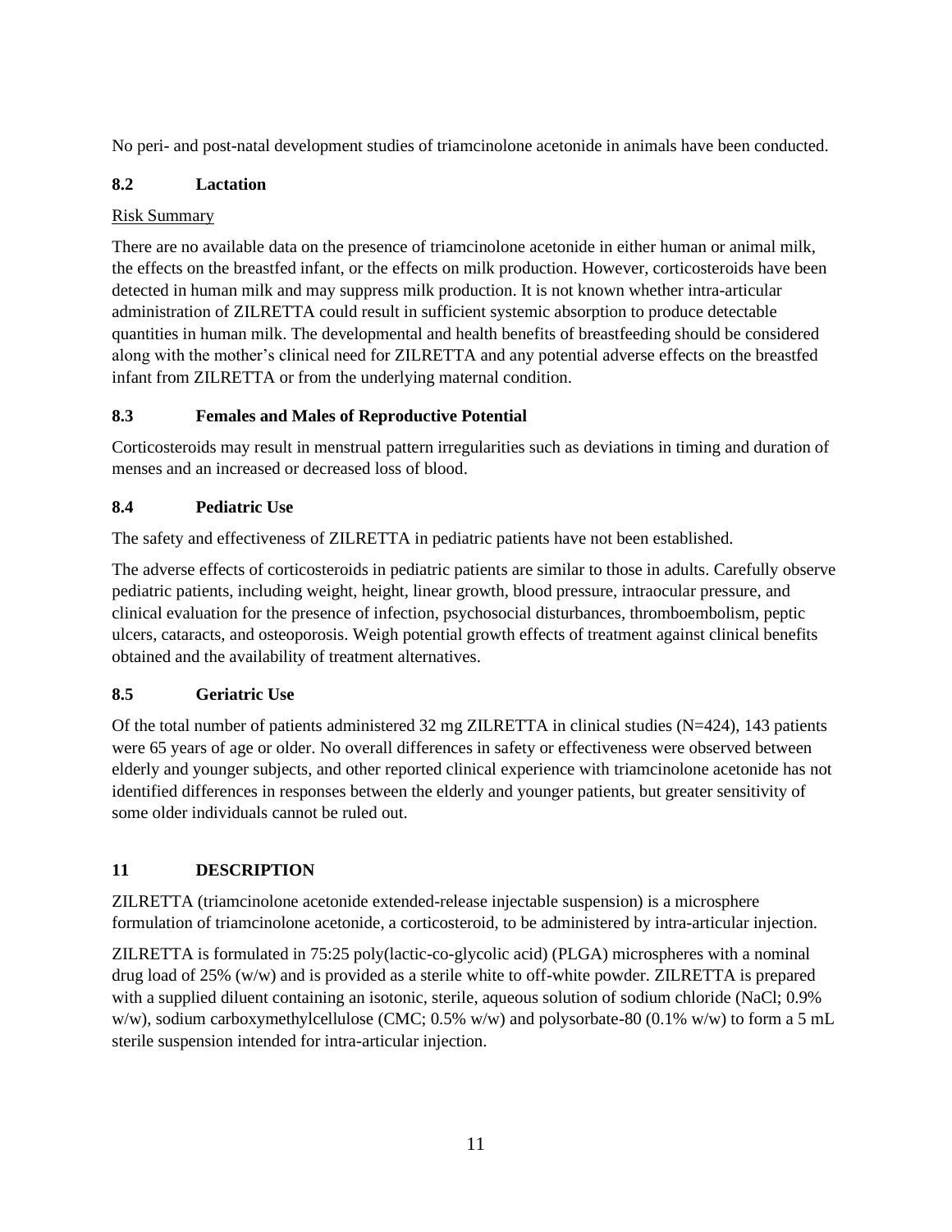No peri- and post-natal development studies of triamcinolone acetonide in animals have been conducted.

# <span id="page-10-0"></span>**8.2 Lactation**

# Risk Summary

There are no available data on the presence of triamcinolone acetonide in either human or animal milk, the effects on the breastfed infant, or the effects on milk production. However, corticosteroids have been detected in human milk and may suppress milk production. It is not known whether intra-articular administration of ZILRETTA could result in sufficient systemic absorption to produce detectable quantities in human milk. The developmental and health benefits of breastfeeding should be considered along with the mother's clinical need for ZILRETTA and any potential adverse effects on the breastfed infant from ZILRETTA or from the underlying maternal condition.

# <span id="page-10-1"></span>**8.3 Females and Males of Reproductive Potential**

Corticosteroids may result in menstrual pattern irregularities such as deviations in timing and duration of menses and an increased or decreased loss of blood.

# <span id="page-10-2"></span>**8.4 Pediatric Use**

The safety and effectiveness of ZILRETTA in pediatric patients have not been established.

The adverse effects of corticosteroids in pediatric patients are similar to those in adults. Carefully observe pediatric patients, including weight, height, linear growth, blood pressure, intraocular pressure, and clinical evaluation for the presence of infection, psychosocial disturbances, thromboembolism, peptic ulcers, cataracts, and osteoporosis. Weigh potential growth effects of treatment against clinical benefits obtained and the availability of treatment alternatives.

# <span id="page-10-3"></span>**8.5 Geriatric Use**

Of the total number of patients administered  $32 \text{ mg ZILRETTA}$  in clinical studies (N=424), 143 patients were 65 years of age or older. No overall differences in safety or effectiveness were observed between elderly and younger subjects, and other reported clinical experience with triamcinolone acetonide has not identified differences in responses between the elderly and younger patients, but greater sensitivity of some older individuals cannot be ruled out.

# <span id="page-10-4"></span>**11 DESCRIPTION**

ZILRETTA (triamcinolone acetonide extended-release injectable suspension) is a microsphere formulation of triamcinolone acetonide, a corticosteroid, to be administered by intra-articular injection.

ZILRETTA is formulated in 75:25 poly(lactic-co-glycolic acid) (PLGA) microspheres with a nominal drug load of 25% (w/w) and is provided as a sterile white to off-white powder. ZILRETTA is prepared with a supplied diluent containing an isotonic, sterile, aqueous solution of sodium chloride (NaCl; 0.9% w/w), sodium carboxymethylcellulose (CMC; 0.5% w/w) and polysorbate-80 (0.1% w/w) to form a 5 mL sterile suspension intended for intra-articular injection.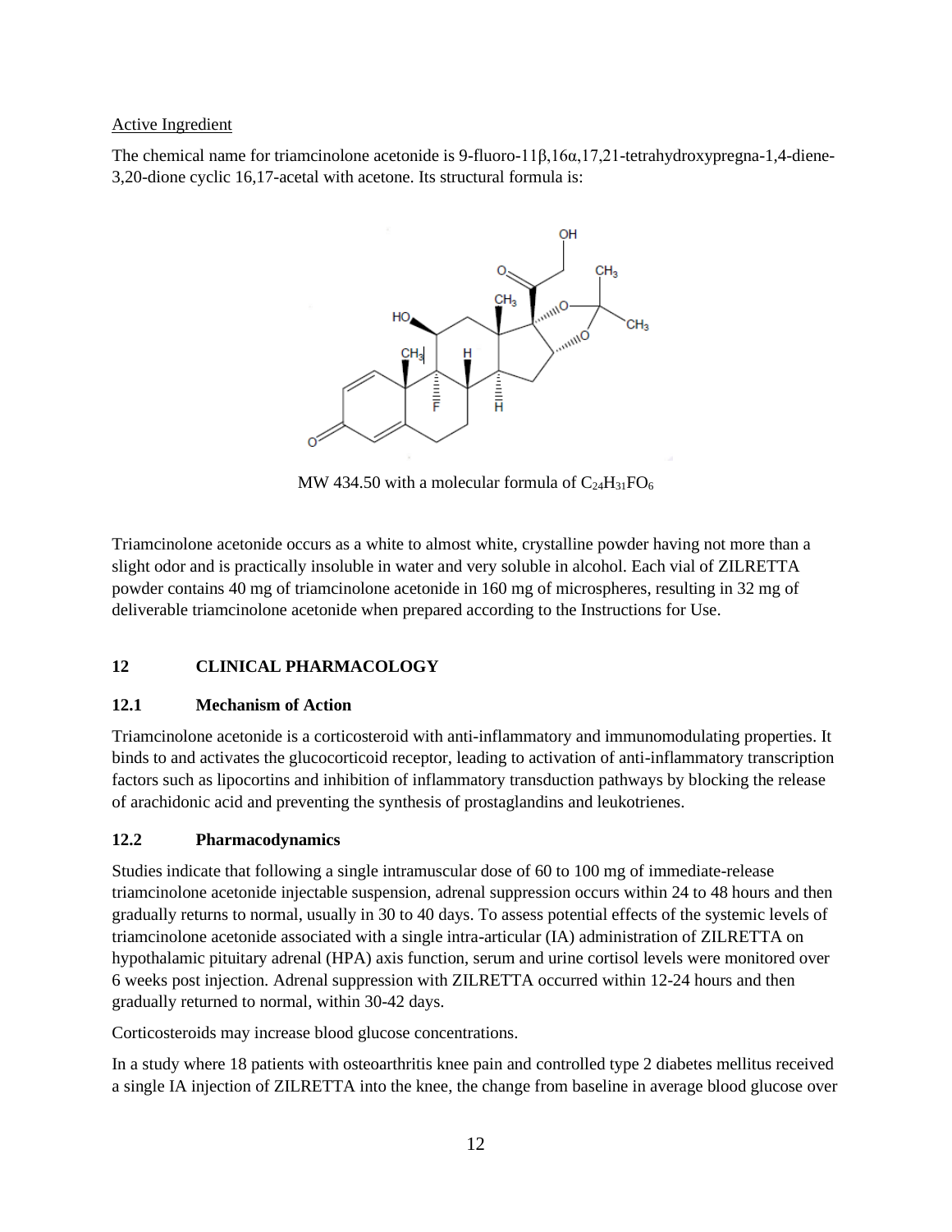# Active Ingredient

The chemical name for triamcinolone acetonide is 9-fluoro-11β,16α,17,21-tetrahydroxypregna-1,4-diene-3,20-dione cyclic 16,17-acetal with acetone. Its structural formula is:



MW 434.50 with a molecular formula of  $C_{24}H_{31}FO_6$ 

Triamcinolone acetonide occurs as a white to almost white, crystalline powder having not more than a slight odor and is practically insoluble in water and very soluble in alcohol. Each vial of ZILRETTA powder contains 40 mg of triamcinolone acetonide in 160 mg of microspheres, resulting in 32 mg of deliverable triamcinolone acetonide when prepared according to the Instructions for Use.

# <span id="page-11-0"></span>**12 CLINICAL PHARMACOLOGY**

# <span id="page-11-1"></span>**12.1 Mechanism of Action**

Triamcinolone acetonide is a corticosteroid with anti-inflammatory and immunomodulating properties. It binds to and activates the glucocorticoid receptor, leading to activation of anti-inflammatory transcription factors such as lipocortins and inhibition of inflammatory transduction pathways by blocking the release of arachidonic acid and preventing the synthesis of prostaglandins and leukotrienes.

# <span id="page-11-2"></span>**12.2 Pharmacodynamics**

Studies indicate that following a single intramuscular dose of 60 to 100 mg of immediate-release triamcinolone acetonide injectable suspension, adrenal suppression occurs within 24 to 48 hours and then gradually returns to normal, usually in 30 to 40 days. To assess potential effects of the systemic levels of triamcinolone acetonide associated with a single intra-articular (IA) administration of ZILRETTA on hypothalamic pituitary adrenal (HPA) axis function, serum and urine cortisol levels were monitored over 6 weeks post injection. Adrenal suppression with ZILRETTA occurred within 12-24 hours and then gradually returned to normal, within 30-42 days.

Corticosteroids may increase blood glucose concentrations.

In a study where 18 patients with osteoarthritis knee pain and controlled type 2 diabetes mellitus received a single IA injection of ZILRETTA into the knee, the change from baseline in average blood glucose over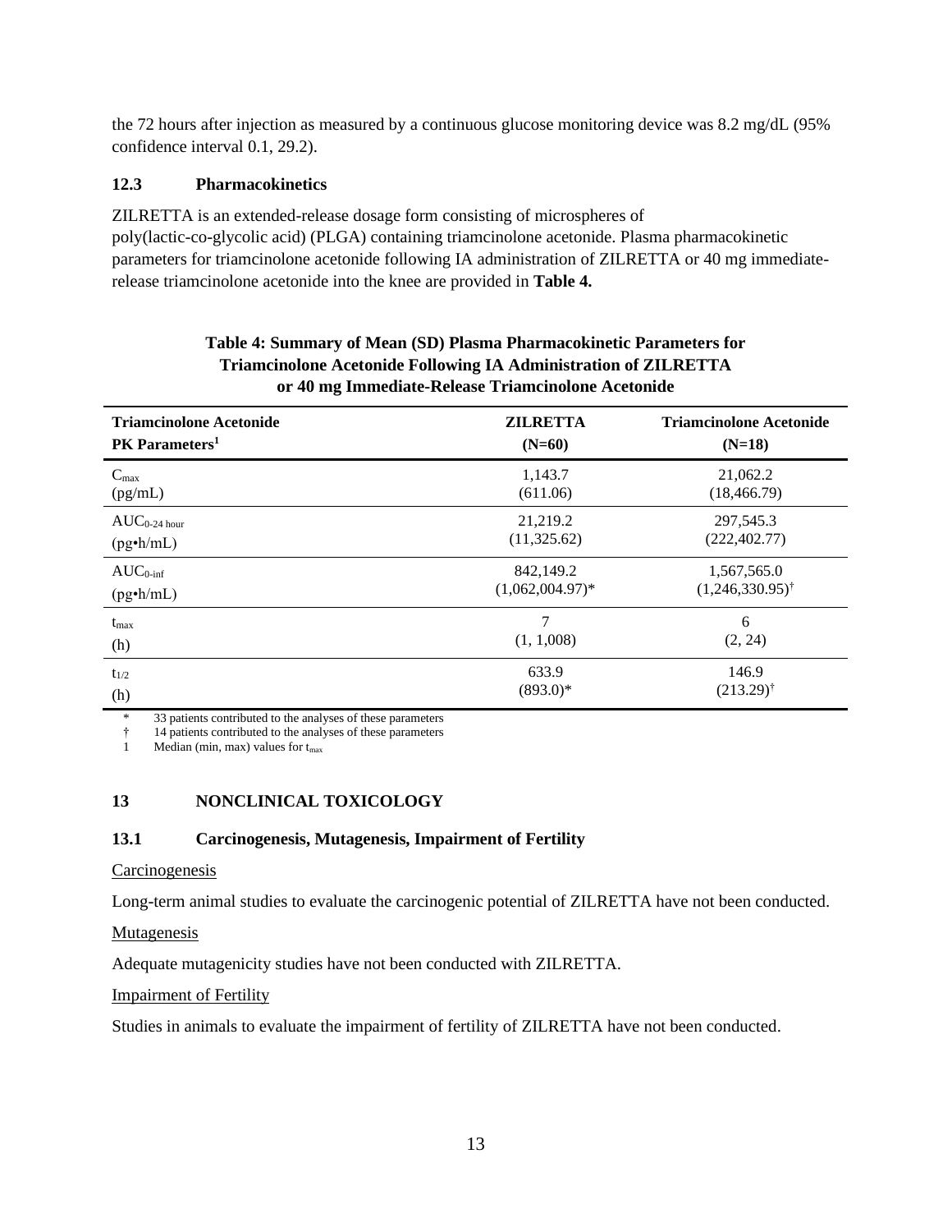the 72 hours after injection as measured by a continuous glucose monitoring device was 8.2 mg/dL (95% confidence interval 0.1, 29.2).

# <span id="page-12-0"></span>**12.3 Pharmacokinetics**

ZILRETTA is an extended-release dosage form consisting of microspheres of poly(lactic-co-glycolic acid) (PLGA) containing triamcinolone acetonide. Plasma pharmacokinetic parameters for triamcinolone acetonide following IA administration of ZILRETTA or 40 mg immediaterelease triamcinolone acetonide into the knee are provided in **Table 4.**

| <b>Triamcinolone Acetonide</b> | <b>ZILRETTA</b>    | <b>Triamcinolone Acetonide</b> |  |
|--------------------------------|--------------------|--------------------------------|--|
| PK Parameters <sup>1</sup>     | $(N=60)$           | $(N=18)$                       |  |
| $C_{\text{max}}$               | 1,143.7            | 21,062.2                       |  |
| (pg/mL)                        | (611.06)           | (18, 466.79)                   |  |
| $AUC_{0-24 \text{ hour}}$      | 21,219.2           | 297,545.3                      |  |
| $(pg\cdot h/mL)$               | (11,325.62)        | (222, 402.77)                  |  |
| $AUC_{0\text{-inf}}$           | 842,149.2          | 1,567,565.0                    |  |
| $(pg\cdot h/mL)$               | $(1,062,004.97)$ * | $(1,246,330.95)$ <sup>†</sup>  |  |
| $t_{\rm max}$                  | 7                  | 6                              |  |
| (h)                            | (1, 1,008)         | (2, 24)                        |  |
| $t_{1/2}$                      | 633.9              | 146.9                          |  |
| (h)                            | $(893.0)*$         | $(213.29)$ <sup>†</sup>        |  |

# **Table 4: Summary of Mean (SD) Plasma Pharmacokinetic Parameters for Triamcinolone Acetonide Following IA Administration of ZILRETTA or 40 mg Immediate-Release Triamcinolone Acetonide**

33 patients contributed to the analyses of these parameters

† 14 patients contributed to the analyses of these parameters

<span id="page-12-1"></span>1 Median (min, max) values for  $t_{\text{max}}$ 

# <span id="page-12-2"></span>**13 NONCLINICAL TOXICOLOGY**

# **13.1 Carcinogenesis, Mutagenesis, Impairment of Fertility**

## **Carcinogenesis**

Long-term animal studies to evaluate the carcinogenic potential of ZILRETTA have not been conducted.

# Mutagenesis

Adequate mutagenicity studies have not been conducted with ZILRETTA.

# Impairment of Fertility

Studies in animals to evaluate the impairment of fertility of ZILRETTA have not been conducted.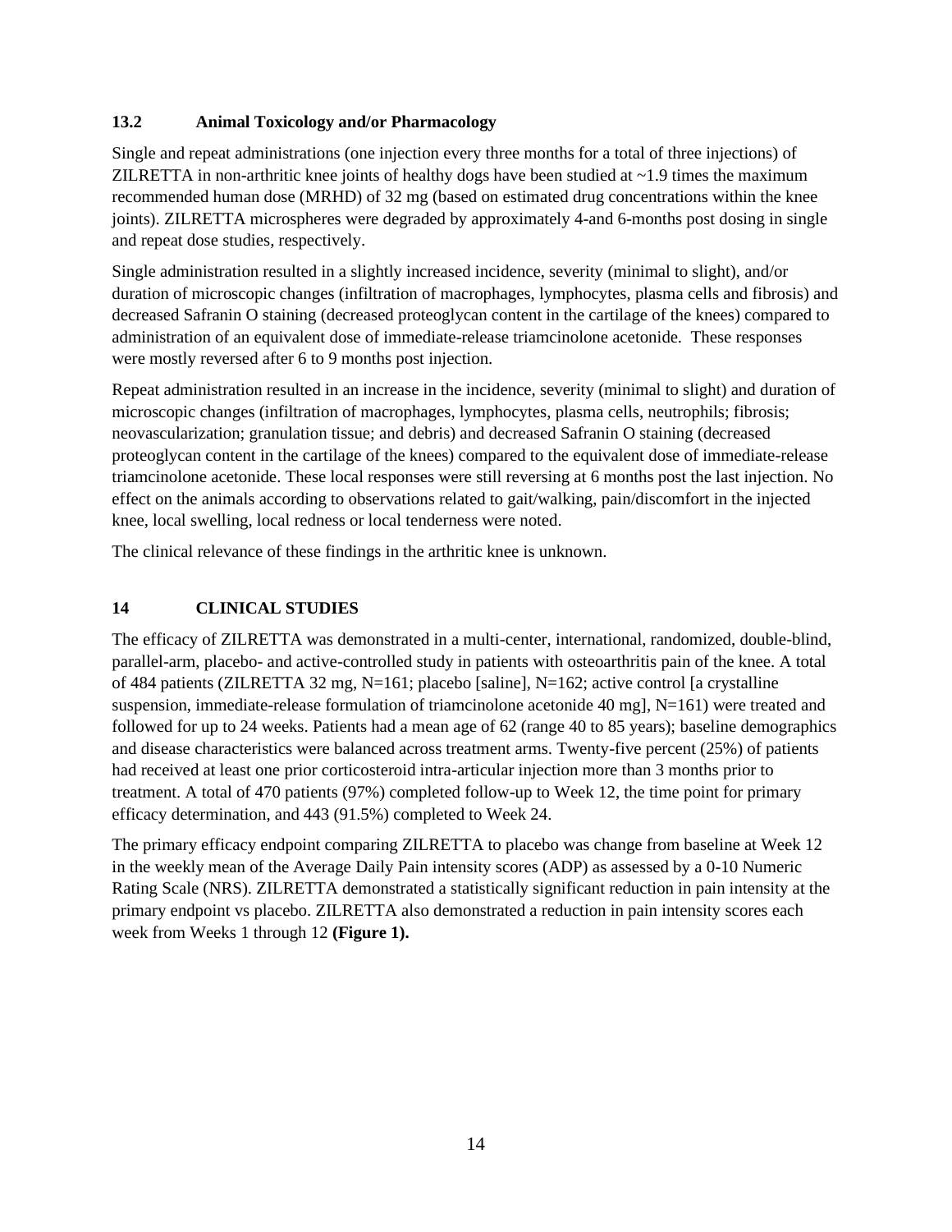# <span id="page-13-0"></span>**13.2 Animal Toxicology and/or Pharmacology**

Single and repeat administrations (one injection every three months for a total of three injections) of ZILRETTA in non-arthritic knee joints of healthy dogs have been studied at  $\sim$ 1.9 times the maximum recommended human dose (MRHD) of 32 mg (based on estimated drug concentrations within the knee joints). ZILRETTA microspheres were degraded by approximately 4-and 6-months post dosing in single and repeat dose studies, respectively.

Single administration resulted in a slightly increased incidence, severity (minimal to slight), and/or duration of microscopic changes (infiltration of macrophages, lymphocytes, plasma cells and fibrosis) and decreased Safranin O staining (decreased proteoglycan content in the cartilage of the knees) compared to administration of an equivalent dose of immediate-release triamcinolone acetonide. These responses were mostly reversed after 6 to 9 months post injection.

Repeat administration resulted in an increase in the incidence, severity (minimal to slight) and duration of microscopic changes (infiltration of macrophages, lymphocytes, plasma cells, neutrophils; fibrosis; neovascularization; granulation tissue; and debris) and decreased Safranin O staining (decreased proteoglycan content in the cartilage of the knees) compared to the equivalent dose of immediate-release triamcinolone acetonide. These local responses were still reversing at 6 months post the last injection. No effect on the animals according to observations related to gait/walking, pain/discomfort in the injected knee, local swelling, local redness or local tenderness were noted.

The clinical relevance of these findings in the arthritic knee is unknown.

# <span id="page-13-1"></span>**14 CLINICAL STUDIES**

The efficacy of ZILRETTA was demonstrated in a multi-center, international, randomized, double-blind, parallel-arm, placebo- and active-controlled study in patients with osteoarthritis pain of the knee. A total of 484 patients (ZILRETTA 32 mg, N=161; placebo [saline], N=162; active control [a crystalline suspension, immediate-release formulation of triamcinolone acetonide 40 mg],  $N=161$ ) were treated and followed for up to 24 weeks. Patients had a mean age of 62 (range 40 to 85 years); baseline demographics and disease characteristics were balanced across treatment arms. Twenty-five percent (25%) of patients had received at least one prior corticosteroid intra-articular injection more than 3 months prior to treatment. A total of 470 patients (97%) completed follow-up to Week 12, the time point for primary efficacy determination, and 443 (91.5%) completed to Week 24.

The primary efficacy endpoint comparing ZILRETTA to placebo was change from baseline at Week 12 in the weekly mean of the Average Daily Pain intensity scores (ADP) as assessed by a 0-10 Numeric Rating Scale (NRS). ZILRETTA demonstrated a statistically significant reduction in pain intensity at the primary endpoint vs placebo. ZILRETTA also demonstrated a reduction in pain intensity scores each week from Weeks 1 through 12 **(Figure 1).**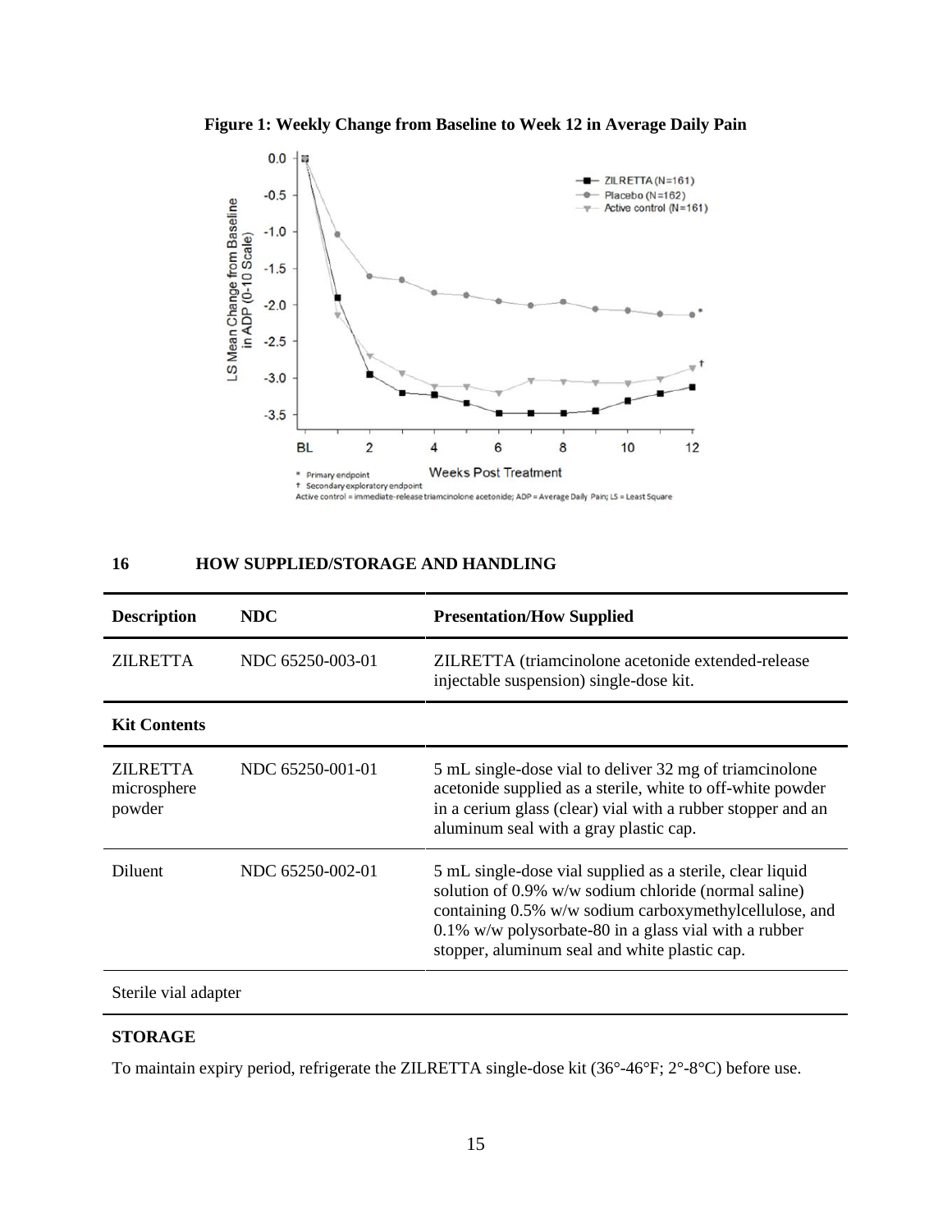



# <span id="page-14-0"></span>**16 HOW SUPPLIED/STORAGE AND HANDLING**

| <b>Description</b>                | NDC              | <b>Presentation/How Supplied</b>                                                                                                                                                                                                                                                      |
|-----------------------------------|------------------|---------------------------------------------------------------------------------------------------------------------------------------------------------------------------------------------------------------------------------------------------------------------------------------|
| <b>ZILRETTA</b>                   | NDC 65250-003-01 | ZILRETTA (triamcinolone acetonide extended-release<br>injectable suspension) single-dose kit.                                                                                                                                                                                         |
| <b>Kit Contents</b>               |                  |                                                                                                                                                                                                                                                                                       |
| ZILRETTA<br>microsphere<br>powder | NDC 65250-001-01 | 5 mL single-dose vial to deliver 32 mg of triamcinolone<br>acetonide supplied as a sterile, white to off-white powder<br>in a cerium glass (clear) vial with a rubber stopper and an<br>aluminum seal with a gray plastic cap.                                                        |
| <b>Diluent</b>                    | NDC 65250-002-01 | 5 mL single-dose vial supplied as a sterile, clear liquid<br>solution of 0.9% w/w sodium chloride (normal saline)<br>containing 0.5% w/w sodium carboxymethylcellulose, and<br>0.1% w/w polysorbate-80 in a glass vial with a rubber<br>stopper, aluminum seal and white plastic cap. |
| Sterile vial adapter              |                  |                                                                                                                                                                                                                                                                                       |

# **STORAGE**

To maintain expiry period, refrigerate the ZILRETTA single-dose kit (36°-46°F; 2°-8°C) before use.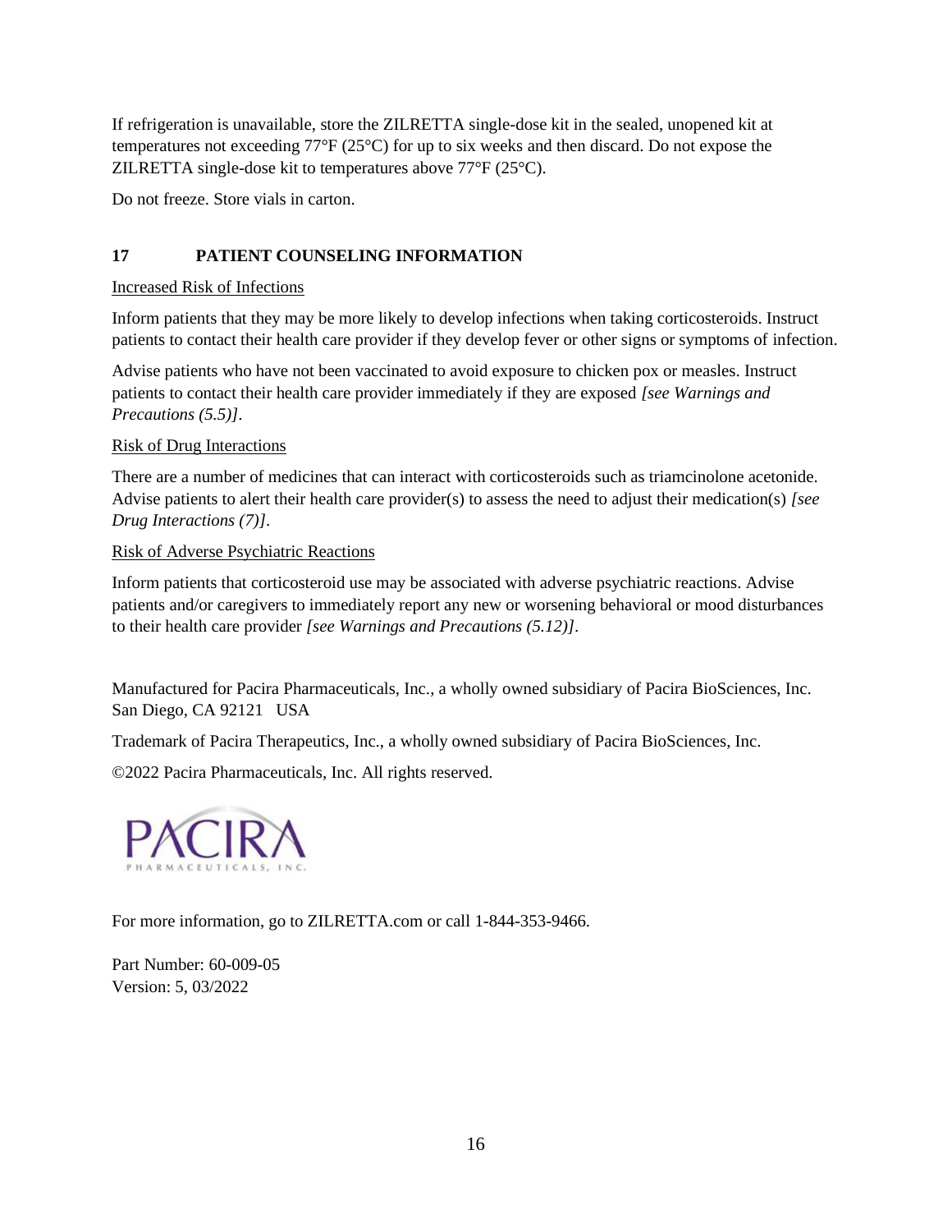If refrigeration is unavailable, store the ZILRETTA single-dose kit in the sealed, unopened kit at temperatures not exceeding 77°F (25°C) for up to six weeks and then discard. Do not expose the ZILRETTA single-dose kit to temperatures above 77°F (25°C).

<span id="page-15-0"></span>Do not freeze. Store vials in carton.

# **17 PATIENT COUNSELING INFORMATION**

# Increased Risk of Infections

Inform patients that they may be more likely to develop infections when taking corticosteroids. Instruct patients to contact their health care provider if they develop fever or other signs or symptoms of infection.

Advise patients who have not been vaccinated to avoid exposure to chicken pox or measles. Instruct patients to contact their health care provider immediately if they are exposed *[see Warnings and Precautions (5.5)]*.

# Risk of Drug Interactions

There are a number of medicines that can interact with corticosteroids such as triamcinolone acetonide. Advise patients to alert their health care provider(s) to assess the need to adjust their medication(s) *[see Drug Interactions (7)]*.

# Risk of Adverse Psychiatric Reactions

Inform patients that corticosteroid use may be associated with adverse psychiatric reactions. Advise patients and/or caregivers to immediately report any new or worsening behavioral or mood disturbances to their health care provider *[see Warnings and Precautions (5.12)]*.

Manufactured for Pacira Pharmaceuticals, Inc., a wholly owned subsidiary of Pacira BioSciences, Inc. San Diego, CA 92121 USA

Trademark of Pacira Therapeutics, Inc., a wholly owned subsidiary of Pacira BioSciences, Inc.

©2022 Pacira Pharmaceuticals, Inc. All rights reserved.



For more information, go to ZILRETTA.com or call 1-844-353-9466.

Part Number: 60-009-05 Version: 5, 03/2022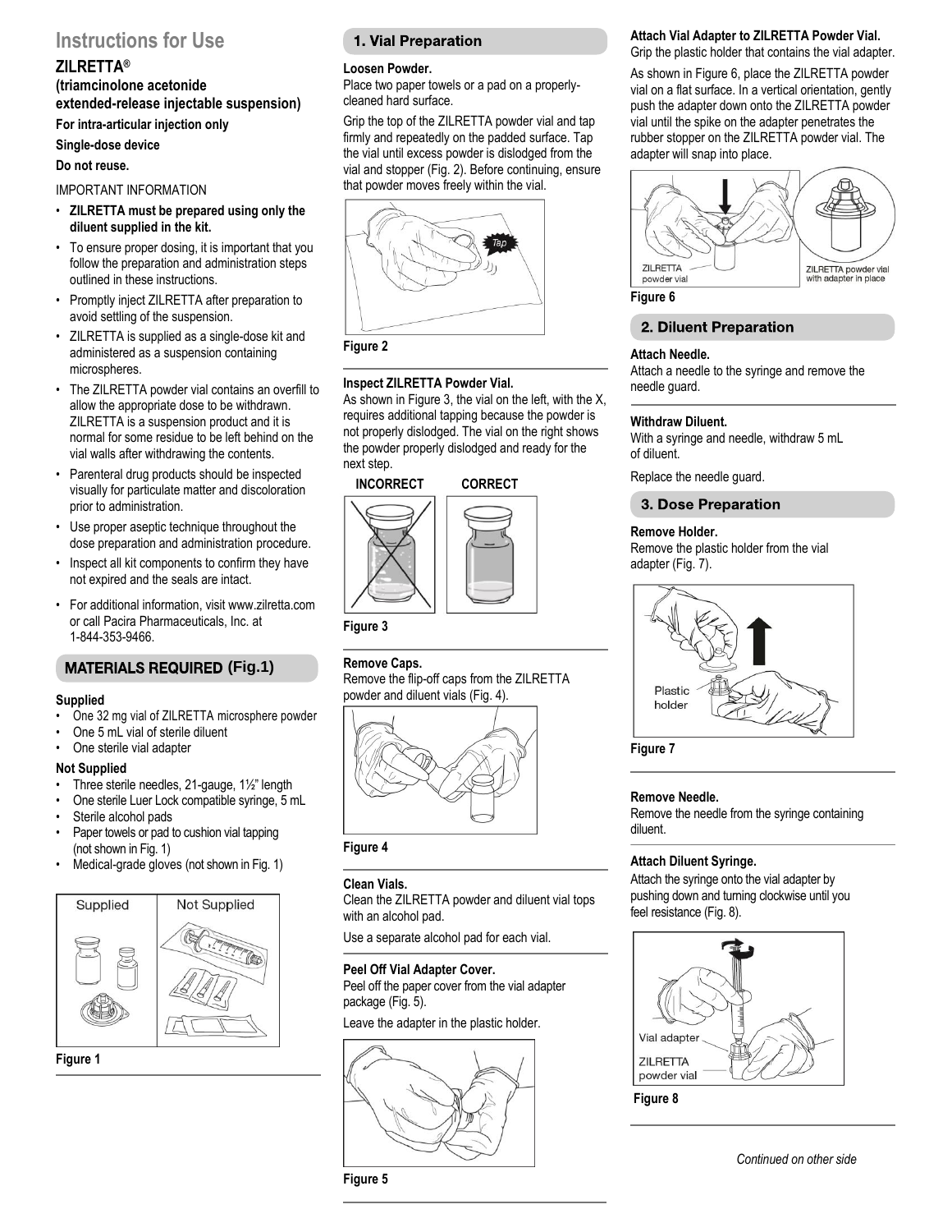# <span id="page-16-0"></span>**Instructions for Use**

# **ZILRETTA®**

**(triamcinolone acetonide extended-release injectable suspension)** 

**For intra-articular injection only** 

**Single-dose device** 

### **Do not reuse.**

## IMPORTANT INFORMATION

- **ZILRETTA must be prepared using only the diluent supplied in the kit.**
- To ensure proper dosing, it is important that you follow the preparation and administration steps outlined in these instructions.
- Promptly inject ZILRETTA after preparation to avoid settling of the suspension.
- ZILRETTA is supplied as a single-dose kit and administered as a suspension containing microspheres.
- The ZILRETTA powder vial contains an overfill to allow the appropriate dose to be withdrawn. ZILRETTA is a suspension product and it is normal for some residue to be left behind on the vial walls after withdrawing the contents.
- Parenteral drug products should be inspected visually for particulate matter and discoloration prior to administration.
- Use proper aseptic technique throughout the dose preparation and administration procedure.
- Inspect all kit components to confirm they have not expired and the seals are intact.
- For additional information, visit www.zilretta.com or call Pacira Pharmaceuticals, Inc. at 1-844-353-9466.

# **MATERIALS REQUIRED (Fig.1)**

### **Supplied**

- One 32 mg vial of ZILRETTA microsphere powder
- One 5 mL vial of sterile diluent
- One sterile vial adapter

### **Not Supplied**

- Three sterile needles, 21-gauge, 1½" length
- One sterile Luer Lock compatible syringe, 5 mL
- Sterile alcohol pads
- Paper towels or pad to cushion vial tapping (not shown in Fig. 1)
- Medical-grade gloves (not shown in Fig. 1)





# 1. Vial Preparation

### **Loosen Powder.**

Place two paper towels or a pad on a properlycleaned hard surface.

Grip the top of the ZILRETTA powder vial and tap firmly and repeatedly on the padded surface. Tap the vial until excess powder is dislodged from the vial and stopper (Fig. 2). Before continuing, ensure that powder moves freely within the vial.





### **Inspect ZILRETTA Powder Vial.**

As shown in Figure 3, the vial on the left, with the X, requires additional tapping because the powder is not properly dislodged. The vial on the right shows the powder properly dislodged and ready for the



**Figure 3**

# **Remove Caps.**

Remove the flip-off caps from the ZILRETTA powder and diluent vials (Fig. 4).



**Figure 4**

### **Clean Vials.**

Clean the ZILRETTA powder and diluent vial tops with an alcohol pad.

Use a separate alcohol pad for each vial.

### **Peel Off Vial Adapter Cover.**

Peel off the paper cover from the vial adapter package (Fig. 5).

Leave the adapter in the plastic holder.



### **Attach Vial Adapter to ZILRETTA Powder Vial.**  Grip the plastic holder that contains the vial adapter.

As shown in Figure 6, place the ZILRETTA powder vial on a flat surface. In a vertical orientation, gently push the adapter down onto the ZILRETTA powder

vial until the spike on the adapter penetrates the rubber stopper on the ZILRETTA powder vial. The adapter will snap into place.



**Figure 6**

# 2. Diluent Preparation

### **Attach Needle.**

Attach a needle to the syringe and remove the needle guard.

### **Withdraw Diluent.**

With a syringe and needle, withdraw 5 mL of diluent.

Replace the needle guard.

### **3. Dose Preparation**

### **Remove Holder.**

Remove the plastic holder from the vial adapter (Fig. 7).



**Figure 7**

### **Remove Needle.**

Remove the needle from the syringe containing diluent.

## **Attach Diluent Syringe.**

Attach the syringe onto the vial adapter by pushing down and turning clockwise until you feel resistance (Fig. 8).





next step.

# **INCORRECT CORRECT**